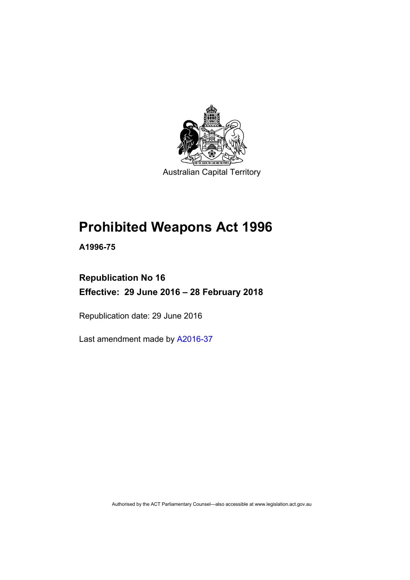

Australian Capital Territory

# **Prohibited Weapons Act 1996**

**A1996-75** 

# **Republication No 16 Effective: 29 June 2016 – 28 February 2018**

Republication date: 29 June 2016

Last amendment made by [A2016-37](http://www.legislation.act.gov.au/a/2016-37)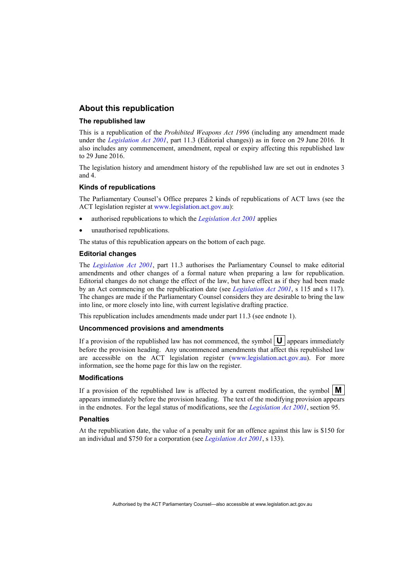#### **About this republication**

#### **The republished law**

This is a republication of the *Prohibited Weapons Act 1996* (including any amendment made under the *[Legislation Act 2001](http://www.legislation.act.gov.au/a/2001-14)*, part 11.3 (Editorial changes)) as in force on 29 June 2016*.* It also includes any commencement, amendment, repeal or expiry affecting this republished law to 29 June 2016.

The legislation history and amendment history of the republished law are set out in endnotes 3 and 4.

#### **Kinds of republications**

The Parliamentary Counsel's Office prepares 2 kinds of republications of ACT laws (see the ACT legislation register at [www.legislation.act.gov.au](http://www.legislation.act.gov.au/)):

- authorised republications to which the *[Legislation Act 2001](http://www.legislation.act.gov.au/a/2001-14)* applies
- unauthorised republications.

The status of this republication appears on the bottom of each page.

#### **Editorial changes**

The *[Legislation Act 2001](http://www.legislation.act.gov.au/a/2001-14)*, part 11.3 authorises the Parliamentary Counsel to make editorial amendments and other changes of a formal nature when preparing a law for republication. Editorial changes do not change the effect of the law, but have effect as if they had been made by an Act commencing on the republication date (see *[Legislation Act 2001](http://www.legislation.act.gov.au/a/2001-14)*, s 115 and s 117). The changes are made if the Parliamentary Counsel considers they are desirable to bring the law into line, or more closely into line, with current legislative drafting practice.

This republication includes amendments made under part 11.3 (see endnote 1).

#### **Uncommenced provisions and amendments**

If a provision of the republished law has not commenced, the symbol  $\mathbf{U}$  appears immediately before the provision heading. Any uncommenced amendments that affect this republished law are accessible on the ACT legislation register [\(www.legislation.act.gov.au\)](http://www.legislation.act.gov.au/). For more information, see the home page for this law on the register.

#### **Modifications**

If a provision of the republished law is affected by a current modification, the symbol  $\mathbf{M}$ appears immediately before the provision heading. The text of the modifying provision appears in the endnotes. For the legal status of modifications, see the *[Legislation Act 2001](http://www.legislation.act.gov.au/a/2001-14)*, section 95.

#### **Penalties**

At the republication date, the value of a penalty unit for an offence against this law is \$150 for an individual and \$750 for a corporation (see *[Legislation Act 2001](http://www.legislation.act.gov.au/a/2001-14)*, s 133).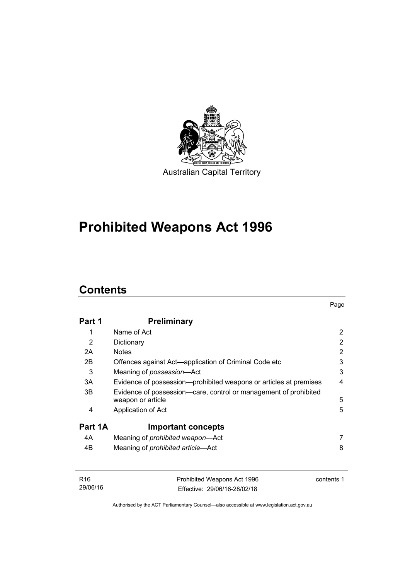

# **Prohibited Weapons Act 1996**

# **Contents**

| Part 1  | <b>Preliminary</b>                                                                    |                |
|---------|---------------------------------------------------------------------------------------|----------------|
| 1       | Name of Act                                                                           | 2              |
| 2       | Dictionary                                                                            | 2              |
| 2A      | <b>Notes</b>                                                                          | $\overline{2}$ |
| 2B      | Offences against Act-application of Criminal Code etc                                 | 3              |
| 3       | Meaning of possession-Act                                                             | 3              |
| 3A      | Evidence of possession—prohibited weapons or articles at premises                     | 4              |
| 3B      | Evidence of possession—care, control or management of prohibited<br>weapon or article | 5              |
| 4       | Application of Act                                                                    | 5              |
| Part 1A | <b>Important concepts</b>                                                             |                |
| 4A      | Meaning of <i>prohibited</i> weapon-Act                                               |                |
| 4B      | Meaning of <i>prohibited article</i> —Act                                             | 8              |

| R16      | Prohibited Weapons Act 1996  | contents 1 |
|----------|------------------------------|------------|
| 29/06/16 | Effective: 29/06/16-28/02/18 |            |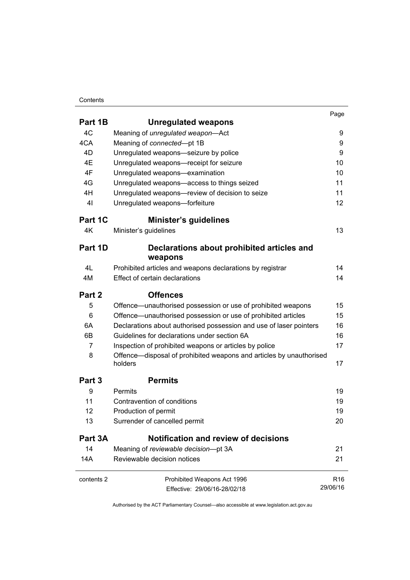#### **Contents**

|            |                                                                                | Page            |
|------------|--------------------------------------------------------------------------------|-----------------|
| Part 1B    | <b>Unregulated weapons</b>                                                     |                 |
| 4C         | Meaning of unregulated weapon-Act                                              | 9               |
| 4CA        | Meaning of connected-pt 1B                                                     | 9               |
| 4D         | Unregulated weapons-seizure by police                                          | 9               |
| 4E         | Unregulated weapons-receipt for seizure                                        | 10              |
| 4F         | Unregulated weapons-examination                                                | 10              |
| 4G         | Unregulated weapons-access to things seized                                    | 11              |
| 4H         | Unregulated weapons-review of decision to seize                                | 11              |
| 41         | Unregulated weapons-forfeiture                                                 | 12              |
| Part 1C    | <b>Minister's guidelines</b>                                                   |                 |
| 4K         | Minister's guidelines                                                          | 13              |
| Part 1D    | Declarations about prohibited articles and                                     |                 |
|            | weapons                                                                        |                 |
| 4L         | Prohibited articles and weapons declarations by registrar                      | 14              |
| 4M         | Effect of certain declarations                                                 | 14              |
| Part 2     | <b>Offences</b>                                                                |                 |
| 5          | Offence—unauthorised possession or use of prohibited weapons                   | 15              |
| 6          | Offence—unauthorised possession or use of prohibited articles                  | 15              |
| 6A         | Declarations about authorised possession and use of laser pointers             | 16              |
| 6B         | Guidelines for declarations under section 6A                                   | 16              |
| 7          | Inspection of prohibited weapons or articles by police                         | 17              |
| 8          | Offence—disposal of prohibited weapons and articles by unauthorised<br>holders | 17              |
| Part 3     | <b>Permits</b>                                                                 |                 |
| 9          | Permits                                                                        | 19              |
| 11         | Contravention of conditions                                                    | 19              |
| 12         | Production of permit                                                           | 19              |
| 13         | Surrender of cancelled permit                                                  | 20              |
| Part 3A    | Notification and review of decisions                                           |                 |
| 14         | Meaning of reviewable decision-pt 3A                                           | 21              |
| 14A        | Reviewable decision notices                                                    | 21              |
| contents 2 | Prohibited Weapons Act 1996                                                    | R <sub>16</sub> |
|            | Effective: 29/06/16-28/02/18                                                   | 29/06/16        |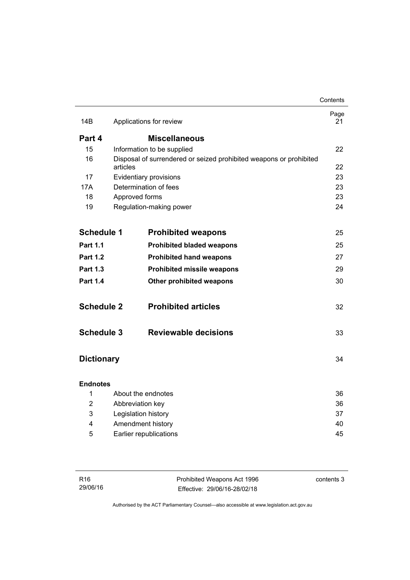|                                   |                     |                                                                    | Contents   |
|-----------------------------------|---------------------|--------------------------------------------------------------------|------------|
| 14B                               |                     | Applications for review                                            | Page<br>21 |
| Part 4                            |                     | <b>Miscellaneous</b>                                               |            |
| 15                                |                     | Information to be supplied                                         | 22         |
| 16                                | articles            | Disposal of surrendered or seized prohibited weapons or prohibited | 22         |
| 17                                |                     | Evidentiary provisions                                             | 23         |
| 17A                               |                     | Determination of fees                                              | 23         |
| 18                                | Approved forms      |                                                                    | 23         |
| 19                                |                     | Regulation-making power                                            | 24         |
| <b>Schedule 1</b>                 |                     | <b>Prohibited weapons</b>                                          | 25         |
| <b>Part 1.1</b>                   |                     | <b>Prohibited bladed weapons</b>                                   | 25         |
| <b>Part 1.2</b>                   |                     | <b>Prohibited hand weapons</b>                                     | 27         |
| <b>Part 1.3</b>                   |                     | <b>Prohibited missile weapons</b>                                  | 29         |
| <b>Part 1.4</b>                   |                     | Other prohibited weapons                                           | 30         |
| <b>Schedule 2</b>                 |                     | <b>Prohibited articles</b>                                         | 32         |
| <b>Schedule 3</b>                 |                     | <b>Reviewable decisions</b>                                        | 33         |
| <b>Dictionary</b>                 |                     |                                                                    | 34         |
| <b>Endnotes</b>                   |                     |                                                                    |            |
| 1                                 |                     | About the endnotes                                                 | 36         |
| $\overline{2}$                    | Abbreviation key    |                                                                    | 36         |
| 3                                 | Legislation history |                                                                    | 37         |
| 4                                 |                     | Amendment history                                                  | 40         |
| 45<br>5<br>Earlier republications |                     |                                                                    |            |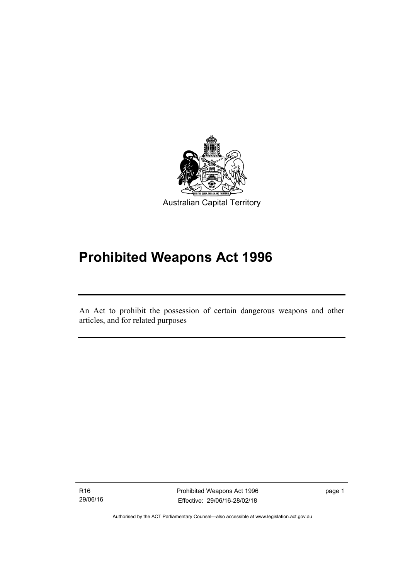

# **Prohibited Weapons Act 1996**

An Act to prohibit the possession of certain dangerous weapons and other articles, and for related purposes

R16 29/06/16

Ī

Prohibited Weapons Act 1996 Effective: 29/06/16-28/02/18

page 1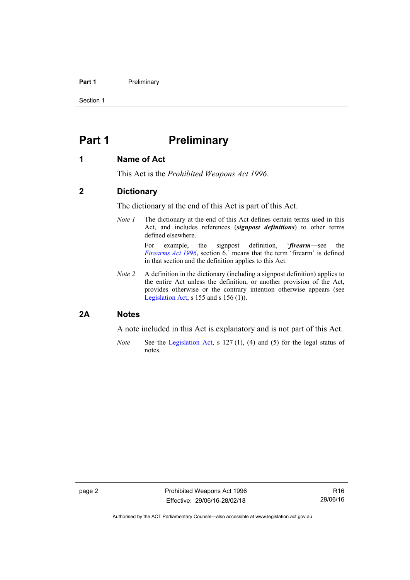#### **Part 1** Preliminary

Section 1

## <span id="page-7-0"></span>**Part 1** Preliminary

### <span id="page-7-1"></span>**1 Name of Act**

This Act is the *Prohibited Weapons Act 1996*.

### <span id="page-7-2"></span>**2 Dictionary**

The dictionary at the end of this Act is part of this Act.

*Note 1* The dictionary at the end of this Act defines certain terms used in this Act, and includes references (*signpost definitions*) to other terms defined elsewhere.

> For example, the signpost definition, '*firearm*—see the *[Firearms Act 1996](http://www.legislation.act.gov.au/a/1996-74)*, section 6.' means that the term 'firearm' is defined in that section and the definition applies to this Act.

*Note 2* A definition in the dictionary (including a signpost definition) applies to the entire Act unless the definition, or another provision of the Act, provides otherwise or the contrary intention otherwise appears (see [Legislation Act,](http://www.legislation.act.gov.au/a/2001-14) s  $155$  and s  $156$  (1)).

#### <span id="page-7-3"></span>**2A Notes**

A note included in this Act is explanatory and is not part of this Act.

*Note* See the [Legislation Act,](http://www.legislation.act.gov.au/a/2001-14) s 127 (1), (4) and (5) for the legal status of notes.

Authorised by the ACT Parliamentary Counsel—also accessible at www.legislation.act.gov.au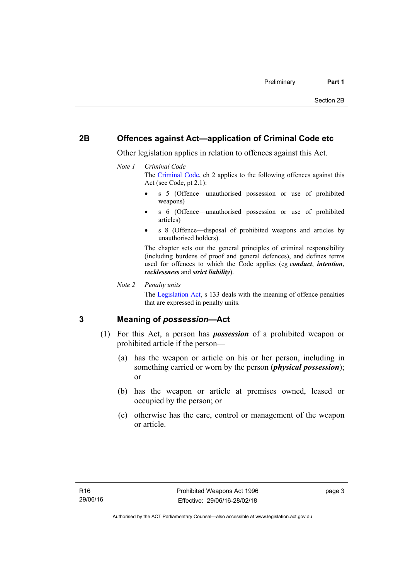### <span id="page-8-0"></span>**2B Offences against Act—application of Criminal Code etc**

Other legislation applies in relation to offences against this Act.

#### *Note 1 Criminal Code*

The [Criminal Code](http://www.legislation.act.gov.au/a/2002-51), ch 2 applies to the following offences against this Act (see Code, pt 2.1):

- s 5 (Offence—unauthorised possession or use of prohibited weapons)
- s 6 (Offence—unauthorised possession or use of prohibited articles)
- s 8 (Offence—disposal of prohibited weapons and articles by unauthorised holders).

The chapter sets out the general principles of criminal responsibility (including burdens of proof and general defences), and defines terms used for offences to which the Code applies (eg *conduct*, *intention*, *recklessness* and *strict liability*).

*Note 2 Penalty units* 

The [Legislation Act](http://www.legislation.act.gov.au/a/2001-14), s 133 deals with the meaning of offence penalties that are expressed in penalty units.

### <span id="page-8-1"></span>**3 Meaning of** *possession***—Act**

- (1) For this Act, a person has *possession* of a prohibited weapon or prohibited article if the person—
	- (a) has the weapon or article on his or her person, including in something carried or worn by the person (*physical possession*); or
	- (b) has the weapon or article at premises owned, leased or occupied by the person; or
	- (c) otherwise has the care, control or management of the weapon or article.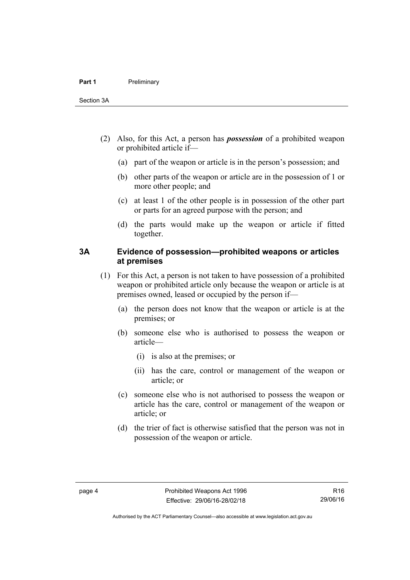- (2) Also, for this Act, a person has *possession* of a prohibited weapon or prohibited article if—
	- (a) part of the weapon or article is in the person's possession; and
	- (b) other parts of the weapon or article are in the possession of 1 or more other people; and
	- (c) at least 1 of the other people is in possession of the other part or parts for an agreed purpose with the person; and
	- (d) the parts would make up the weapon or article if fitted together.

## <span id="page-9-0"></span>**3A Evidence of possession—prohibited weapons or articles at premises**

- (1) For this Act, a person is not taken to have possession of a prohibited weapon or prohibited article only because the weapon or article is at premises owned, leased or occupied by the person if—
	- (a) the person does not know that the weapon or article is at the premises; or
	- (b) someone else who is authorised to possess the weapon or article—
		- (i) is also at the premises; or
		- (ii) has the care, control or management of the weapon or article; or
	- (c) someone else who is not authorised to possess the weapon or article has the care, control or management of the weapon or article; or
	- (d) the trier of fact is otherwise satisfied that the person was not in possession of the weapon or article.

R16 29/06/16

Authorised by the ACT Parliamentary Counsel—also accessible at www.legislation.act.gov.au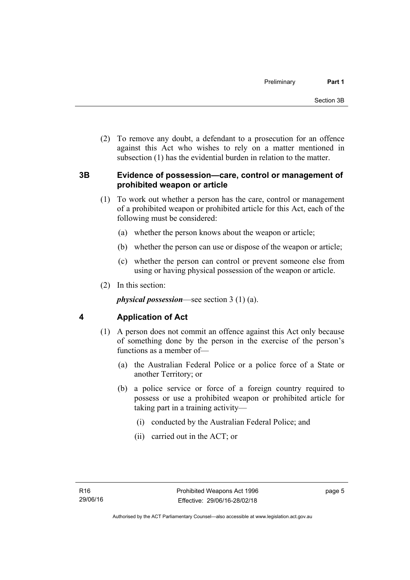(2) To remove any doubt, a defendant to a prosecution for an offence against this Act who wishes to rely on a matter mentioned in subsection (1) has the evidential burden in relation to the matter.

## <span id="page-10-0"></span>**3B Evidence of possession—care, control or management of prohibited weapon or article**

- (1) To work out whether a person has the care, control or management of a prohibited weapon or prohibited article for this Act, each of the following must be considered:
	- (a) whether the person knows about the weapon or article;
	- (b) whether the person can use or dispose of the weapon or article;
	- (c) whether the person can control or prevent someone else from using or having physical possession of the weapon or article.
- (2) In this section:

*physical possession*—see section 3 (1) (a).

## <span id="page-10-1"></span>**4 Application of Act**

- (1) A person does not commit an offence against this Act only because of something done by the person in the exercise of the person's functions as a member of—
	- (a) the Australian Federal Police or a police force of a State or another Territory; or
	- (b) a police service or force of a foreign country required to possess or use a prohibited weapon or prohibited article for taking part in a training activity—
		- (i) conducted by the Australian Federal Police; and
		- (ii) carried out in the ACT; or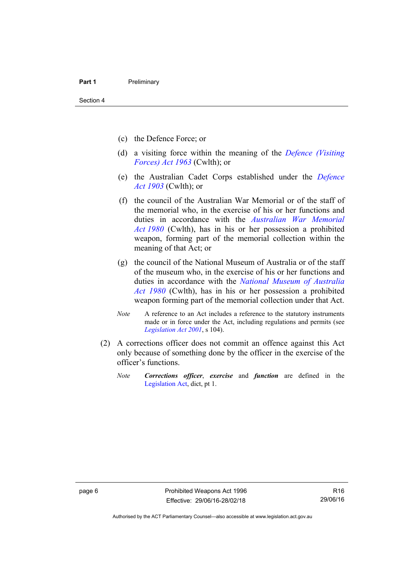- (c) the Defence Force; or
- (d) a visiting force within the meaning of the *[Defence \(Visiting](http://www.comlaw.gov.au/Series/C1963A00081)  [Forces\) Act 1963](http://www.comlaw.gov.au/Series/C1963A00081)* (Cwlth); or
- (e) the Australian Cadet Corps established under the *[Defence](http://www.comlaw.gov.au/Series/C1903A00020)  [Act 1903](http://www.comlaw.gov.au/Series/C1903A00020)* (Cwlth); or
- (f) the council of the Australian War Memorial or of the staff of the memorial who, in the exercise of his or her functions and duties in accordance with the *[Australian War Memorial](http://www.comlaw.gov.au/Series/C2004A02305)  [Act 1980](http://www.comlaw.gov.au/Series/C2004A02305)* (Cwlth), has in his or her possession a prohibited weapon, forming part of the memorial collection within the meaning of that Act; or
- (g) the council of the National Museum of Australia or of the staff of the museum who, in the exercise of his or her functions and duties in accordance with the *[National Museum of Australia](http://www.comlaw.gov.au/Series/C2004A02316)  [Act 1980](http://www.comlaw.gov.au/Series/C2004A02316)* (Cwlth), has in his or her possession a prohibited weapon forming part of the memorial collection under that Act.
- *Note* A reference to an Act includes a reference to the statutory instruments made or in force under the Act, including regulations and permits (see *[Legislation Act 2001](http://www.legislation.act.gov.au/a/2001-14)*, s 104).
- (2) A corrections officer does not commit an offence against this Act only because of something done by the officer in the exercise of the officer's functions.
	- *Note Corrections officer*, *exercise* and *function* are defined in the [Legislation Act,](http://www.legislation.act.gov.au/a/2001-14) dict, pt 1.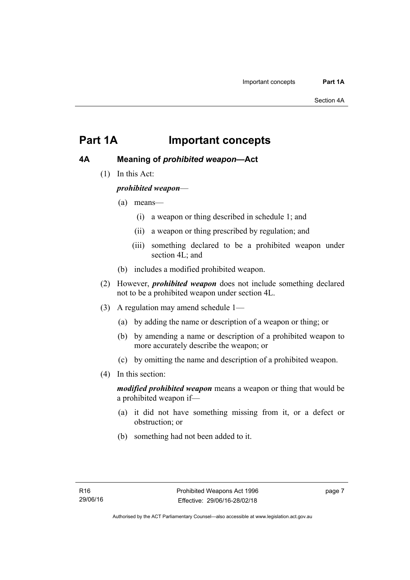## <span id="page-12-0"></span>**Part 1A Important concepts**

## <span id="page-12-1"></span>**4A Meaning of** *prohibited weapon***—Act**

(1) In this Act:

*prohibited weapon*—

- (a) means—
	- (i) a weapon or thing described in schedule 1; and
	- (ii) a weapon or thing prescribed by regulation; and
	- (iii) something declared to be a prohibited weapon under section 4L; and
- (b) includes a modified prohibited weapon.
- (2) However, *prohibited weapon* does not include something declared not to be a prohibited weapon under section 4L.
- (3) A regulation may amend schedule 1—
	- (a) by adding the name or description of a weapon or thing; or
	- (b) by amending a name or description of a prohibited weapon to more accurately describe the weapon; or
	- (c) by omitting the name and description of a prohibited weapon.
- (4) In this section:

*modified prohibited weapon* means a weapon or thing that would be a prohibited weapon if—

- (a) it did not have something missing from it, or a defect or obstruction; or
- (b) something had not been added to it.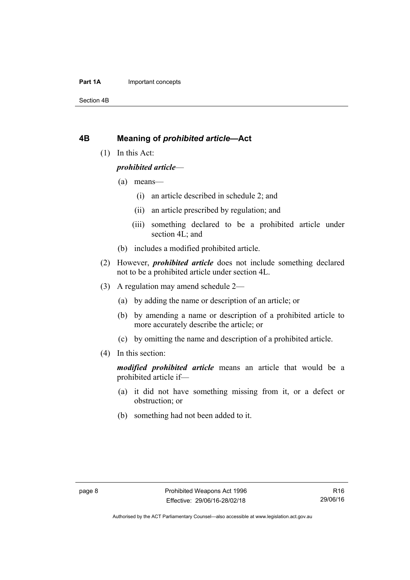#### **Part 1A** Important concepts

Section 4B

### <span id="page-13-0"></span>**4B Meaning of** *prohibited article***—Act**

(1) In this Act:

#### *prohibited article*—

- (a) means—
	- (i) an article described in schedule 2; and
	- (ii) an article prescribed by regulation; and
	- (iii) something declared to be a prohibited article under section 4L; and
- (b) includes a modified prohibited article.
- (2) However, *prohibited article* does not include something declared not to be a prohibited article under section 4L.
- (3) A regulation may amend schedule 2—
	- (a) by adding the name or description of an article; or
	- (b) by amending a name or description of a prohibited article to more accurately describe the article; or
	- (c) by omitting the name and description of a prohibited article.
- (4) In this section:

*modified prohibited article* means an article that would be a prohibited article if—

- (a) it did not have something missing from it, or a defect or obstruction; or
- (b) something had not been added to it.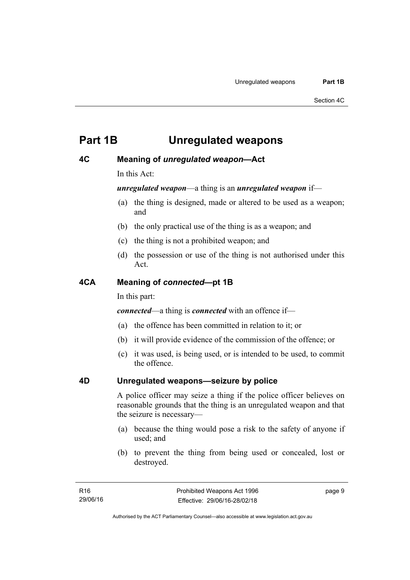# <span id="page-14-0"></span>**Part 1B Unregulated weapons**

## <span id="page-14-1"></span>**4C Meaning of** *unregulated weapon***—Act**

In this Act:

*unregulated weapon*—a thing is an *unregulated weapon* if—

- (a) the thing is designed, made or altered to be used as a weapon; and
- (b) the only practical use of the thing is as a weapon; and
- (c) the thing is not a prohibited weapon; and
- (d) the possession or use of the thing is not authorised under this Act.

## <span id="page-14-2"></span>**4CA Meaning of** *connected***—pt 1B**

In this part:

*connected*—a thing is *connected* with an offence if—

- (a) the offence has been committed in relation to it; or
- (b) it will provide evidence of the commission of the offence; or
- (c) it was used, is being used, or is intended to be used, to commit the offence.

## <span id="page-14-3"></span>**4D Unregulated weapons—seizure by police**

A police officer may seize a thing if the police officer believes on reasonable grounds that the thing is an unregulated weapon and that the seizure is necessary—

- (a) because the thing would pose a risk to the safety of anyone if used; and
- (b) to prevent the thing from being used or concealed, lost or destroyed.

page 9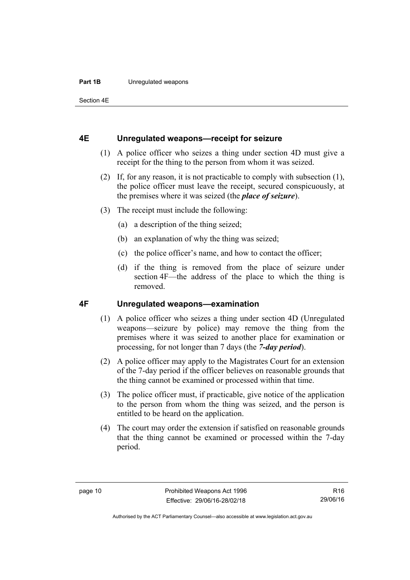#### **Part 1B** Unregulated weapons

Section 4E

#### <span id="page-15-0"></span>**4E Unregulated weapons—receipt for seizure**

- (1) A police officer who seizes a thing under section 4D must give a receipt for the thing to the person from whom it was seized.
- (2) If, for any reason, it is not practicable to comply with subsection (1), the police officer must leave the receipt, secured conspicuously, at the premises where it was seized (the *place of seizure*).
- (3) The receipt must include the following:
	- (a) a description of the thing seized;
	- (b) an explanation of why the thing was seized;
	- (c) the police officer's name, and how to contact the officer;
	- (d) if the thing is removed from the place of seizure under section 4F—the address of the place to which the thing is removed.

### <span id="page-15-1"></span>**4F Unregulated weapons—examination**

- (1) A police officer who seizes a thing under section 4D (Unregulated weapons—seizure by police) may remove the thing from the premises where it was seized to another place for examination or processing, for not longer than 7 days (the *7-day period*).
- (2) A police officer may apply to the Magistrates Court for an extension of the 7-day period if the officer believes on reasonable grounds that the thing cannot be examined or processed within that time.
- (3) The police officer must, if practicable, give notice of the application to the person from whom the thing was seized, and the person is entitled to be heard on the application.
- (4) The court may order the extension if satisfied on reasonable grounds that the thing cannot be examined or processed within the 7-day period.

R16 29/06/16

Authorised by the ACT Parliamentary Counsel—also accessible at www.legislation.act.gov.au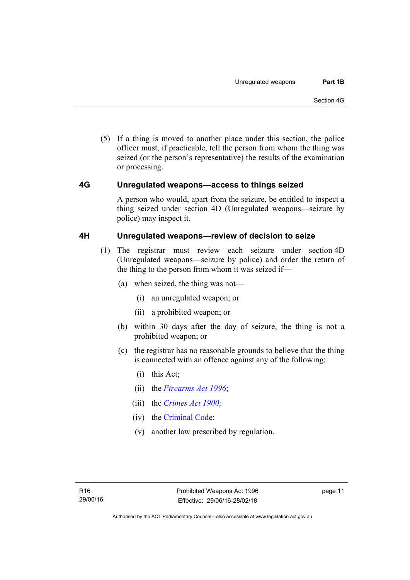(5) If a thing is moved to another place under this section, the police officer must, if practicable, tell the person from whom the thing was seized (or the person's representative) the results of the examination or processing.

## <span id="page-16-0"></span>**4G Unregulated weapons—access to things seized**

A person who would, apart from the seizure, be entitled to inspect a thing seized under section 4D (Unregulated weapons—seizure by police) may inspect it.

## <span id="page-16-1"></span>**4H Unregulated weapons—review of decision to seize**

- (1) The registrar must review each seizure under section 4D (Unregulated weapons—seizure by police) and order the return of the thing to the person from whom it was seized if—
	- (a) when seized, the thing was not—
		- (i) an unregulated weapon; or
		- (ii) a prohibited weapon; or
	- (b) within 30 days after the day of seizure, the thing is not a prohibited weapon; or
	- (c) the registrar has no reasonable grounds to believe that the thing is connected with an offence against any of the following:
		- (i) this Act;
		- (ii) the *[Firearms Act 1996](http://www.legislation.act.gov.au/a/1996-74)*;
		- (iii) the *[Crimes Act 1900](http://www.legislation.act.gov.au/a/1900-40);*
		- (iv) the [Criminal Code;](http://www.legislation.act.gov.au/a/2002-51)
		- (v) another law prescribed by regulation.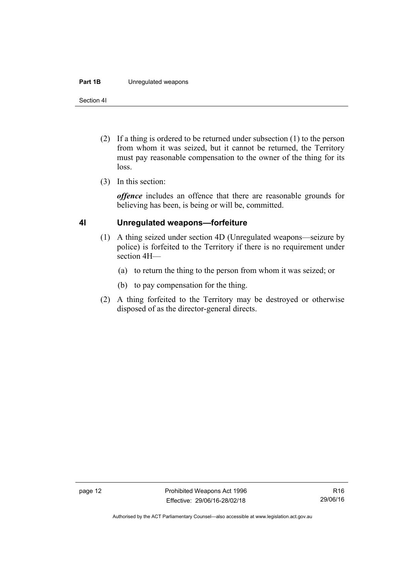#### **Part 1B** Unregulated weapons

Section 4I

- (2) If a thing is ordered to be returned under subsection (1) to the person from whom it was seized, but it cannot be returned, the Territory must pay reasonable compensation to the owner of the thing for its loss.
- (3) In this section:

*offence* includes an offence that there are reasonable grounds for believing has been, is being or will be, committed.

### <span id="page-17-0"></span>**4I Unregulated weapons—forfeiture**

- (1) A thing seized under section 4D (Unregulated weapons—seizure by police) is forfeited to the Territory if there is no requirement under section 4H—
	- (a) to return the thing to the person from whom it was seized; or
	- (b) to pay compensation for the thing.
- (2) A thing forfeited to the Territory may be destroyed or otherwise disposed of as the director-general directs.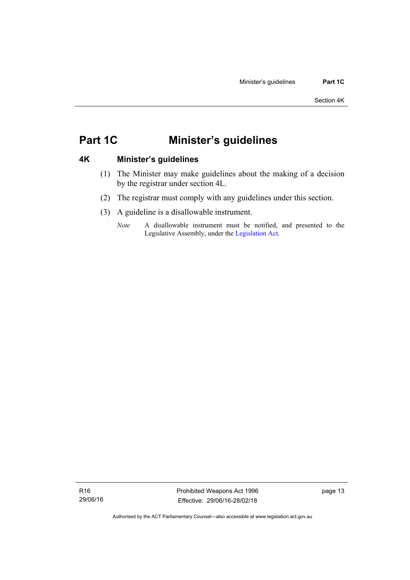## <span id="page-18-0"></span>**Part 1C Minister's guidelines**

## <span id="page-18-1"></span>**4K Minister's guidelines**

- (1) The Minister may make guidelines about the making of a decision by the registrar under section 4L.
- (2) The registrar must comply with any guidelines under this section.
- (3) A guideline is a disallowable instrument.
	- *Note* A disallowable instrument must be notified, and presented to the Legislative Assembly, under the [Legislation Act.](http://www.legislation.act.gov.au/a/2001-14)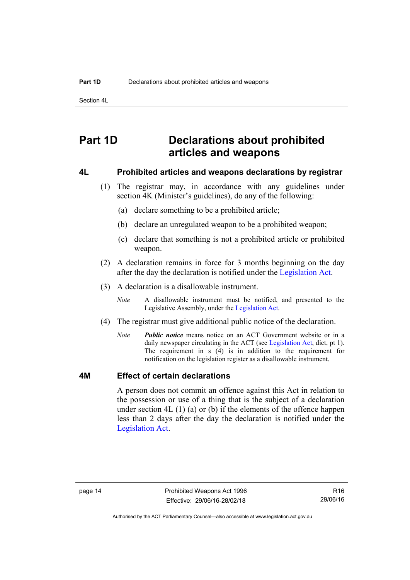Section 4L

## <span id="page-19-0"></span>**Part 1D Declarations about prohibited articles and weapons**

#### <span id="page-19-1"></span>**4L Prohibited articles and weapons declarations by registrar**

- (1) The registrar may, in accordance with any guidelines under section 4K (Minister's guidelines), do any of the following:
	- (a) declare something to be a prohibited article;
	- (b) declare an unregulated weapon to be a prohibited weapon;
	- (c) declare that something is not a prohibited article or prohibited weapon.
- (2) A declaration remains in force for 3 months beginning on the day after the day the declaration is notified under the [Legislation Act.](http://www.legislation.act.gov.au/a/2001-14)
- (3) A declaration is a disallowable instrument.
	- *Note* A disallowable instrument must be notified, and presented to the Legislative Assembly, under the [Legislation Act.](http://www.legislation.act.gov.au/a/2001-14)
- (4) The registrar must give additional public notice of the declaration.
	- *Note Public notice* means notice on an ACT Government website or in a daily newspaper circulating in the ACT (see [Legislation Act](http://www.legislation.act.gov.au/a/2001-14), dict, pt 1). The requirement in s (4) is in addition to the requirement for notification on the legislation register as a disallowable instrument.

#### <span id="page-19-2"></span>**4M Effect of certain declarations**

A person does not commit an offence against this Act in relation to the possession or use of a thing that is the subject of a declaration under section 4L (1) (a) or (b) if the elements of the offence happen less than 2 days after the day the declaration is notified under the [Legislation Act](http://www.legislation.act.gov.au/a/2001-14).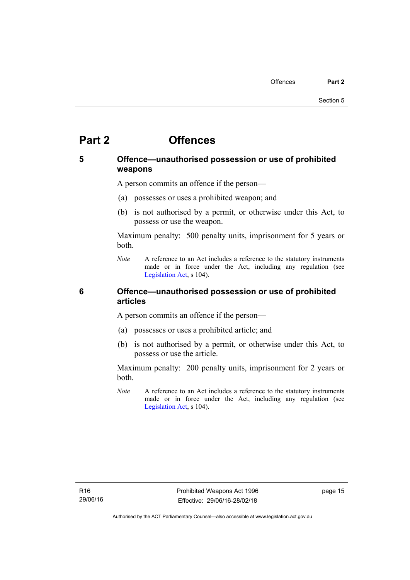## <span id="page-20-0"></span>**Part 2 Offences**

## <span id="page-20-1"></span>**5 Offence—unauthorised possession or use of prohibited weapons**

A person commits an offence if the person—

- (a) possesses or uses a prohibited weapon; and
- (b) is not authorised by a permit, or otherwise under this Act, to possess or use the weapon.

Maximum penalty: 500 penalty units, imprisonment for 5 years or both.

*Note* A reference to an Act includes a reference to the statutory instruments made or in force under the Act, including any regulation (see [Legislation Act,](http://www.legislation.act.gov.au/a/2001-14) s 104).

<span id="page-20-2"></span>**6 Offence—unauthorised possession or use of prohibited articles** 

A person commits an offence if the person—

- (a) possesses or uses a prohibited article; and
- (b) is not authorised by a permit, or otherwise under this Act, to possess or use the article.

Maximum penalty: 200 penalty units, imprisonment for 2 years or both.

*Note* A reference to an Act includes a reference to the statutory instruments made or in force under the Act, including any regulation (see [Legislation Act,](http://www.legislation.act.gov.au/a/2001-14) s 104).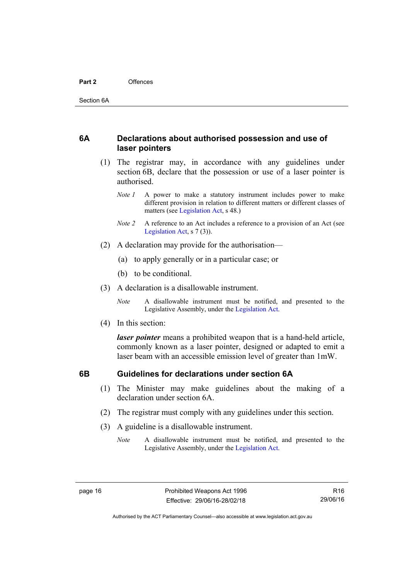### <span id="page-21-0"></span>**6A Declarations about authorised possession and use of laser pointers**

- (1) The registrar may, in accordance with any guidelines under section 6B, declare that the possession or use of a laser pointer is authorised.
	- *Note 1* A power to make a statutory instrument includes power to make different provision in relation to different matters or different classes of matters (see [Legislation Act,](http://www.legislation.act.gov.au/a/2001-14) s 48.)
	- *Note 2* A reference to an Act includes a reference to a provision of an Act (see [Legislation Act,](http://www.legislation.act.gov.au/a/2001-14) s 7 (3)).
- (2) A declaration may provide for the authorisation—
	- (a) to apply generally or in a particular case; or
	- (b) to be conditional.
- (3) A declaration is a disallowable instrument.

*Note* A disallowable instrument must be notified, and presented to the Legislative Assembly, under the [Legislation Act.](http://www.legislation.act.gov.au/a/2001-14)

(4) In this section:

*laser pointer* means a prohibited weapon that is a hand-held article, commonly known as a laser pointer, designed or adapted to emit a laser beam with an accessible emission level of greater than 1mW.

## <span id="page-21-1"></span>**6B Guidelines for declarations under section 6A**

- (1) The Minister may make guidelines about the making of a declaration under section 6A.
- (2) The registrar must comply with any guidelines under this section.
- (3) A guideline is a disallowable instrument.
	- *Note* A disallowable instrument must be notified, and presented to the Legislative Assembly, under the [Legislation Act.](http://www.legislation.act.gov.au/a/2001-14)

R16 29/06/16

Authorised by the ACT Parliamentary Counsel—also accessible at www.legislation.act.gov.au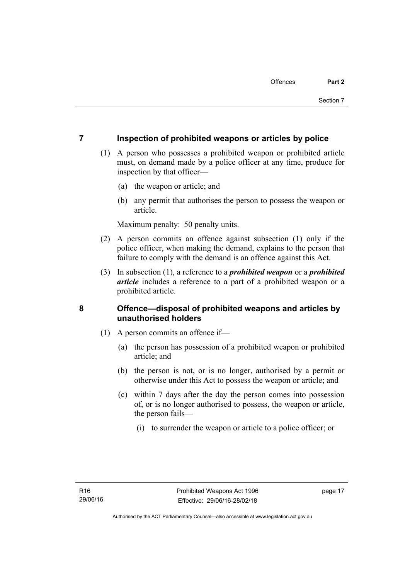## <span id="page-22-0"></span>**7 Inspection of prohibited weapons or articles by police**

- (1) A person who possesses a prohibited weapon or prohibited article must, on demand made by a police officer at any time, produce for inspection by that officer—
	- (a) the weapon or article; and
	- (b) any permit that authorises the person to possess the weapon or article.

Maximum penalty: 50 penalty units.

- (2) A person commits an offence against subsection (1) only if the police officer, when making the demand, explains to the person that failure to comply with the demand is an offence against this Act.
- (3) In subsection (1), a reference to a *prohibited weapon* or a *prohibited article* includes a reference to a part of a prohibited weapon or a prohibited article.

## <span id="page-22-1"></span>**8 Offence—disposal of prohibited weapons and articles by unauthorised holders**

- (1) A person commits an offence if—
	- (a) the person has possession of a prohibited weapon or prohibited article; and
	- (b) the person is not, or is no longer, authorised by a permit or otherwise under this Act to possess the weapon or article; and
	- (c) within 7 days after the day the person comes into possession of, or is no longer authorised to possess, the weapon or article, the person fails—
		- (i) to surrender the weapon or article to a police officer; or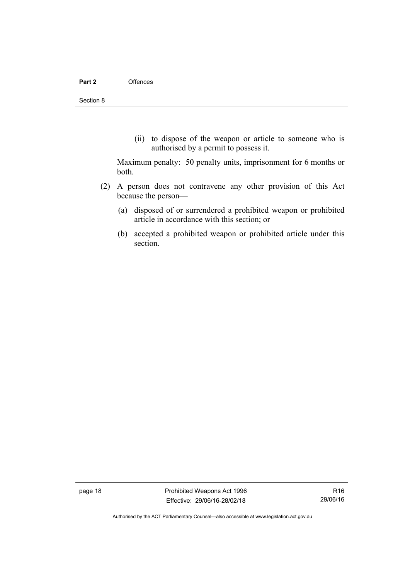(ii) to dispose of the weapon or article to someone who is authorised by a permit to possess it.

Maximum penalty: 50 penalty units, imprisonment for 6 months or both.

- (2) A person does not contravene any other provision of this Act because the person—
	- (a) disposed of or surrendered a prohibited weapon or prohibited article in accordance with this section; or
	- (b) accepted a prohibited weapon or prohibited article under this section.

page 18 **Prohibited Weapons Act 1996** Effective: 29/06/16-28/02/18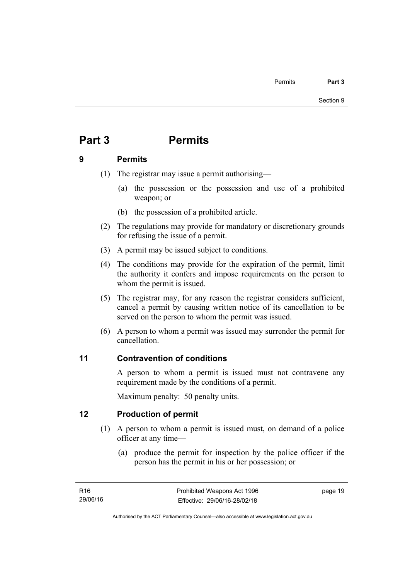# <span id="page-24-0"></span>**Part 3 Permits**

## <span id="page-24-1"></span>**9 Permits**

- (1) The registrar may issue a permit authorising—
	- (a) the possession or the possession and use of a prohibited weapon; or
	- (b) the possession of a prohibited article.
- (2) The regulations may provide for mandatory or discretionary grounds for refusing the issue of a permit.
- (3) A permit may be issued subject to conditions.
- (4) The conditions may provide for the expiration of the permit, limit the authority it confers and impose requirements on the person to whom the permit is issued.
- (5) The registrar may, for any reason the registrar considers sufficient, cancel a permit by causing written notice of its cancellation to be served on the person to whom the permit was issued.
- (6) A person to whom a permit was issued may surrender the permit for cancellation.

## <span id="page-24-2"></span>**11 Contravention of conditions**

A person to whom a permit is issued must not contravene any requirement made by the conditions of a permit.

Maximum penalty: 50 penalty units.

## <span id="page-24-3"></span>**12 Production of permit**

- (1) A person to whom a permit is issued must, on demand of a police officer at any time—
	- (a) produce the permit for inspection by the police officer if the person has the permit in his or her possession; or

page 19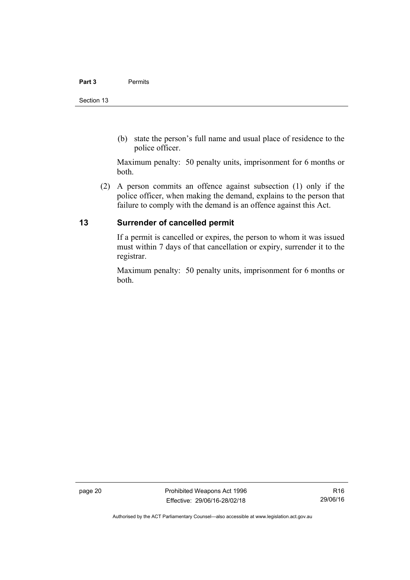(b) state the person's full name and usual place of residence to the police officer.

Maximum penalty: 50 penalty units, imprisonment for 6 months or both.

 (2) A person commits an offence against subsection (1) only if the police officer, when making the demand, explains to the person that failure to comply with the demand is an offence against this Act.

## <span id="page-25-0"></span>**13 Surrender of cancelled permit**

If a permit is cancelled or expires, the person to whom it was issued must within 7 days of that cancellation or expiry, surrender it to the registrar.

Maximum penalty: 50 penalty units, imprisonment for 6 months or both.

page 20 **Prohibited Weapons Act 1996** Effective: 29/06/16-28/02/18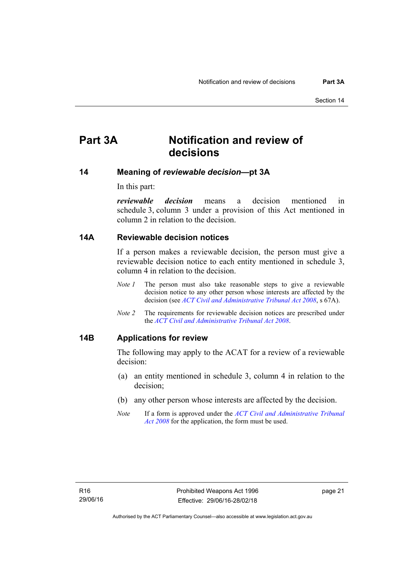## <span id="page-26-0"></span>**Part 3A Notification and review of decisions**

### <span id="page-26-1"></span>**14 Meaning of** *reviewable decision—***pt 3A**

In this part:

*reviewable decision* means a decision mentioned in schedule 3, column 3 under a provision of this Act mentioned in column 2 in relation to the decision.

#### <span id="page-26-2"></span>**14A Reviewable decision notices**

If a person makes a reviewable decision, the person must give a reviewable decision notice to each entity mentioned in schedule 3, column 4 in relation to the decision.

- *Note 1* The person must also take reasonable steps to give a reviewable decision notice to any other person whose interests are affected by the decision (see *[ACT Civil and Administrative Tribunal Act 2008](http://www.legislation.act.gov.au/a/2008-35)*, s 67A).
- *Note 2* The requirements for reviewable decision notices are prescribed under the *[ACT Civil and Administrative Tribunal Act 2008](http://www.legislation.act.gov.au/a/2008-35)*.

#### <span id="page-26-3"></span>**14B Applications for review**

The following may apply to the ACAT for a review of a reviewable decision:

- (a) an entity mentioned in schedule 3, column 4 in relation to the decision;
- (b) any other person whose interests are affected by the decision.
- *Note* If a form is approved under the *[ACT Civil and Administrative Tribunal](http://www.legislation.act.gov.au/a/2008-35)  [Act 2008](http://www.legislation.act.gov.au/a/2008-35)* for the application, the form must be used.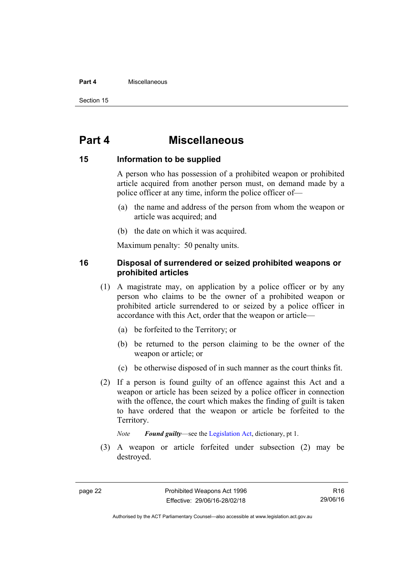#### **Part 4** Miscellaneous

Section 15

## <span id="page-27-0"></span>**Part 4 Miscellaneous**

#### <span id="page-27-1"></span>**15 Information to be supplied**

A person who has possession of a prohibited weapon or prohibited article acquired from another person must, on demand made by a police officer at any time, inform the police officer of—

- (a) the name and address of the person from whom the weapon or article was acquired; and
- (b) the date on which it was acquired.

Maximum penalty: 50 penalty units.

## <span id="page-27-2"></span>**16 Disposal of surrendered or seized prohibited weapons or prohibited articles**

- (1) A magistrate may, on application by a police officer or by any person who claims to be the owner of a prohibited weapon or prohibited article surrendered to or seized by a police officer in accordance with this Act, order that the weapon or article—
	- (a) be forfeited to the Territory; or
	- (b) be returned to the person claiming to be the owner of the weapon or article; or
	- (c) be otherwise disposed of in such manner as the court thinks fit.
- (2) If a person is found guilty of an offence against this Act and a weapon or article has been seized by a police officer in connection with the offence, the court which makes the finding of guilt is taken to have ordered that the weapon or article be forfeited to the Territory.

*Note Found guilty*—see the [Legislation Act,](http://www.legislation.act.gov.au/a/2001-14) dictionary, pt 1.

 (3) A weapon or article forfeited under subsection (2) may be destroyed.

R16 29/06/16

Authorised by the ACT Parliamentary Counsel—also accessible at www.legislation.act.gov.au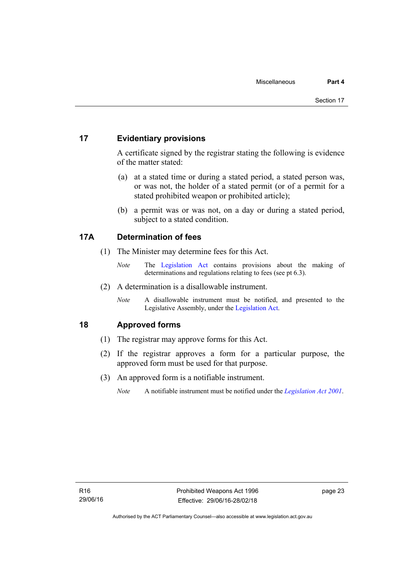## <span id="page-28-0"></span>**17 Evidentiary provisions**

A certificate signed by the registrar stating the following is evidence of the matter stated:

- (a) at a stated time or during a stated period, a stated person was, or was not, the holder of a stated permit (or of a permit for a stated prohibited weapon or prohibited article);
- (b) a permit was or was not, on a day or during a stated period, subject to a stated condition.

## <span id="page-28-1"></span>**17A Determination of fees**

- (1) The Minister may determine fees for this Act.
	- *Note* The [Legislation Act](http://www.legislation.act.gov.au/a/2001-14) contains provisions about the making of determinations and regulations relating to fees (see pt 6.3).
- (2) A determination is a disallowable instrument.
	- *Note* A disallowable instrument must be notified, and presented to the Legislative Assembly, under the [Legislation Act.](http://www.legislation.act.gov.au/a/2001-14)

## <span id="page-28-2"></span>**18 Approved forms**

- (1) The registrar may approve forms for this Act.
- (2) If the registrar approves a form for a particular purpose, the approved form must be used for that purpose.
- (3) An approved form is a notifiable instrument.
	- *Note* A notifiable instrument must be notified under the *[Legislation Act 2001](http://www.legislation.act.gov.au/a/2001-14)*.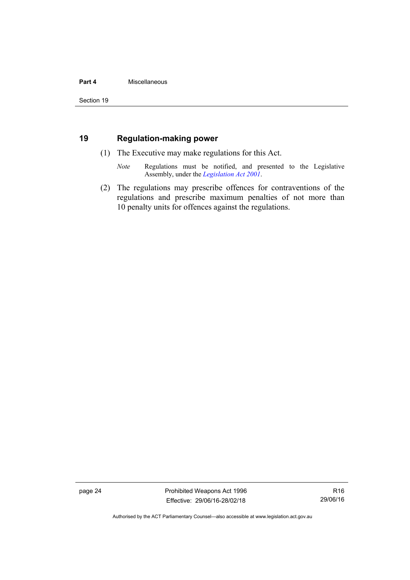#### **Part 4** Miscellaneous

## <span id="page-29-0"></span>**19 Regulation-making power**

- (1) The Executive may make regulations for this Act.
	- *Note* Regulations must be notified, and presented to the Legislative Assembly, under the *[Legislation Act 2001](http://www.legislation.act.gov.au/a/2001-14)*.
- (2) The regulations may prescribe offences for contraventions of the regulations and prescribe maximum penalties of not more than 10 penalty units for offences against the regulations.

page 24 **Prohibited Weapons Act 1996** Effective: 29/06/16-28/02/18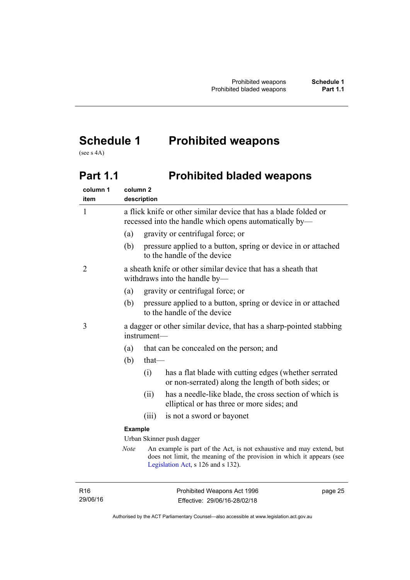# <span id="page-30-0"></span>**Schedule 1 Prohibited weapons**

(see s 4A)

# <span id="page-30-1"></span>Part 1.1 **Prohibited bladed weapons**

| column 1<br>item | column <sub>2</sub> | description                                                                                                                |                                                                                                                                                                                     |
|------------------|---------------------|----------------------------------------------------------------------------------------------------------------------------|-------------------------------------------------------------------------------------------------------------------------------------------------------------------------------------|
| $\mathbf{1}$     |                     | a flick knife or other similar device that has a blade folded or<br>recessed into the handle which opens automatically by— |                                                                                                                                                                                     |
|                  | (a)                 |                                                                                                                            | gravity or centrifugal force; or                                                                                                                                                    |
|                  | (b)                 |                                                                                                                            | pressure applied to a button, spring or device in or attached<br>to the handle of the device                                                                                        |
| 2                |                     |                                                                                                                            | a sheath knife or other similar device that has a sheath that<br>withdraws into the handle by—                                                                                      |
|                  | (a)                 |                                                                                                                            | gravity or centrifugal force; or                                                                                                                                                    |
|                  | (b)                 |                                                                                                                            | pressure applied to a button, spring or device in or attached<br>to the handle of the device                                                                                        |
| 3                |                     | a dagger or other similar device, that has a sharp-pointed stabbing<br>instrument-                                         |                                                                                                                                                                                     |
|                  | (a)                 |                                                                                                                            | that can be concealed on the person; and                                                                                                                                            |
|                  | (b)                 | $that$ —                                                                                                                   |                                                                                                                                                                                     |
|                  |                     | (i)                                                                                                                        | has a flat blade with cutting edges (whether serrated<br>or non-serrated) along the length of both sides; or                                                                        |
|                  |                     | (ii)                                                                                                                       | has a needle-like blade, the cross section of which is<br>elliptical or has three or more sides; and                                                                                |
|                  |                     | (iii)                                                                                                                      | is not a sword or bayonet                                                                                                                                                           |
|                  | <b>Example</b>      |                                                                                                                            |                                                                                                                                                                                     |
|                  |                     |                                                                                                                            | Urban Skinner push dagger                                                                                                                                                           |
|                  | <b>Note</b>         |                                                                                                                            | An example is part of the Act, is not exhaustive and may extend, but<br>does not limit, the meaning of the provision in which it appears (see<br>Legislation Act, s 126 and s 132). |
|                  |                     |                                                                                                                            |                                                                                                                                                                                     |

R16 29/06/16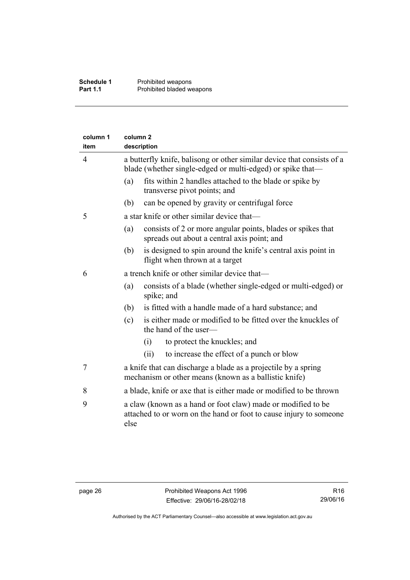| column 1<br>item | column <sub>2</sub><br>description |                                                                                                                                      |
|------------------|------------------------------------|--------------------------------------------------------------------------------------------------------------------------------------|
| 4                |                                    | a butterfly knife, balisong or other similar device that consists of a<br>blade (whether single-edged or multi-edged) or spike that— |
|                  | (a)                                | fits within 2 handles attached to the blade or spike by<br>transverse pivot points; and                                              |
|                  | (b)                                | can be opened by gravity or centrifugal force                                                                                        |
| 5                |                                    | a star knife or other similar device that—                                                                                           |
|                  | (a)                                | consists of 2 or more angular points, blades or spikes that<br>spreads out about a central axis point; and                           |
|                  | (b)                                | is designed to spin around the knife's central axis point in<br>flight when thrown at a target                                       |
| 6                |                                    | a trench knife or other similar device that—                                                                                         |
|                  | (a)                                | consists of a blade (whether single-edged or multi-edged) or<br>spike; and                                                           |
|                  | (b)                                | is fitted with a handle made of a hard substance; and                                                                                |
|                  | (c)                                | is either made or modified to be fitted over the knuckles of<br>the hand of the user-                                                |
|                  |                                    | to protect the knuckles; and<br>(i)                                                                                                  |
|                  |                                    | (ii)<br>to increase the effect of a punch or blow                                                                                    |
| 7                |                                    | a knife that can discharge a blade as a projectile by a spring<br>mechanism or other means (known as a ballistic knife)              |
| 8                |                                    | a blade, knife or axe that is either made or modified to be thrown                                                                   |
| 9                | else                               | a claw (known as a hand or foot claw) made or modified to be<br>attached to or worn on the hand or foot to cause injury to someone   |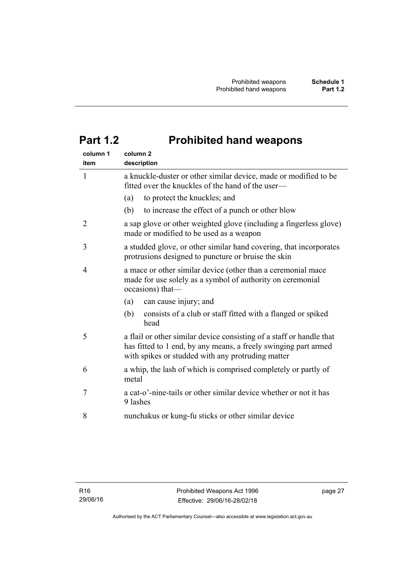# <span id="page-32-0"></span>**Part 1.2 Prohibited hand weapons**

| column 1<br>item | column <sub>2</sub><br>description                                                                                                                                                           |  |
|------------------|----------------------------------------------------------------------------------------------------------------------------------------------------------------------------------------------|--|
| $\mathbf{1}$     | a knuckle-duster or other similar device, made or modified to be<br>fitted over the knuckles of the hand of the user—                                                                        |  |
|                  | to protect the knuckles; and<br>(a)                                                                                                                                                          |  |
|                  | to increase the effect of a punch or other blow<br>(b)                                                                                                                                       |  |
| 2                | a sap glove or other weighted glove (including a fingerless glove)<br>made or modified to be used as a weapon                                                                                |  |
| 3                | a studded glove, or other similar hand covering, that incorporates<br>protrusions designed to puncture or bruise the skin                                                                    |  |
| 4                | a mace or other similar device (other than a ceremonial mace<br>made for use solely as a symbol of authority on ceremonial<br>occasions) that-                                               |  |
|                  | (a)<br>can cause injury; and                                                                                                                                                                 |  |
|                  | (b)<br>consists of a club or staff fitted with a flanged or spiked<br>head                                                                                                                   |  |
| 5                | a flail or other similar device consisting of a staff or handle that<br>has fitted to 1 end, by any means, a freely swinging part armed<br>with spikes or studded with any protruding matter |  |
| 6                | a whip, the lash of which is comprised completely or partly of<br>metal                                                                                                                      |  |
| 7                | a cat-o'-nine-tails or other similar device whether or not it has<br>9 lashes                                                                                                                |  |
| 8                | nunchakus or kung-fu sticks or other similar device                                                                                                                                          |  |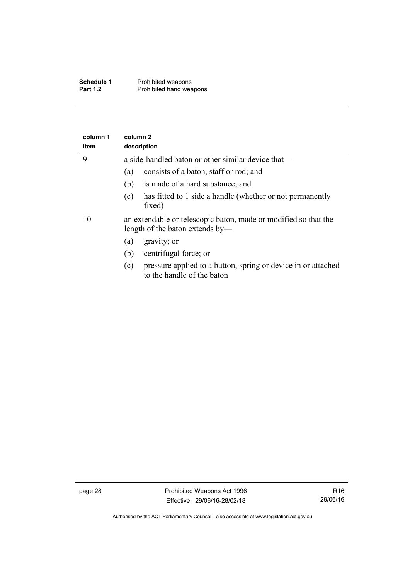| Schedule 1      | Prohibited weapons      |
|-----------------|-------------------------|
| <b>Part 1.2</b> | Prohibited hand weapons |

| column 1<br>item | column 2<br>description                                                                            |
|------------------|----------------------------------------------------------------------------------------------------|
| 9                | a side-handled baton or other similar device that—                                                 |
|                  | consists of a baton, staff or rod; and<br>(a)                                                      |
|                  | is made of a hard substance; and<br>(b)                                                            |
|                  | has fitted to 1 side a handle (whether or not permanently<br>(c)<br>fixed)                         |
| 10               | an extendable or telescopic baton, made or modified so that the<br>length of the baton extends by— |
|                  | gravity; or<br>(a)                                                                                 |
|                  | centrifugal force; or<br>(b)                                                                       |
|                  | pressure applied to a button, spring or device in or attached<br>(c)<br>to the handle of the baton |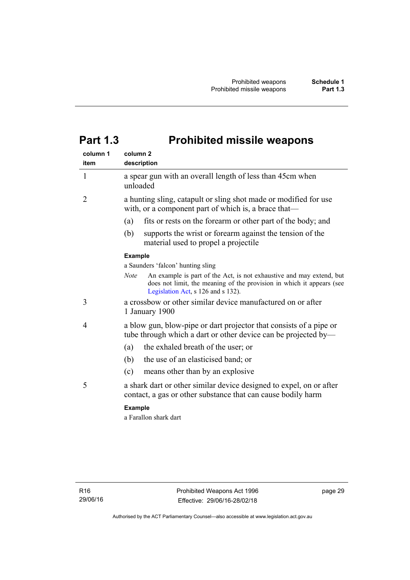# <span id="page-34-0"></span>**Part 1.3 Prohibited missile weapons**

| column 1<br>item | column <sub>2</sub><br>description                                                                                                                                                                 |
|------------------|----------------------------------------------------------------------------------------------------------------------------------------------------------------------------------------------------|
| 1                | a spear gun with an overall length of less than 45cm when<br>unloaded                                                                                                                              |
| 2                | a hunting sling, catapult or sling shot made or modified for use<br>with, or a component part of which is, a brace that-                                                                           |
|                  | fits or rests on the forearm or other part of the body; and<br>(a)                                                                                                                                 |
|                  | supports the wrist or forearm against the tension of the<br>(b)<br>material used to propel a projectile                                                                                            |
|                  | <b>Example</b>                                                                                                                                                                                     |
|                  | a Saunders 'falcon' hunting sling                                                                                                                                                                  |
|                  | An example is part of the Act, is not exhaustive and may extend, but<br><b>Note</b><br>does not limit, the meaning of the provision in which it appears (see<br>Legislation Act, s 126 and s 132). |
| 3                | a crossbow or other similar device manufactured on or after<br>1 January 1900                                                                                                                      |
| 4                | a blow gun, blow-pipe or dart projector that consists of a pipe or<br>tube through which a dart or other device can be projected by—                                                               |
|                  | the exhaled breath of the user; or<br>(a)                                                                                                                                                          |
|                  | the use of an elasticised band; or<br>(b)                                                                                                                                                          |
|                  | (c)<br>means other than by an explosive                                                                                                                                                            |
| 5                | a shark dart or other similar device designed to expel, on or after<br>contact, a gas or other substance that can cause bodily harm                                                                |
|                  | <b>Example</b>                                                                                                                                                                                     |
|                  | a Farallon shark dart                                                                                                                                                                              |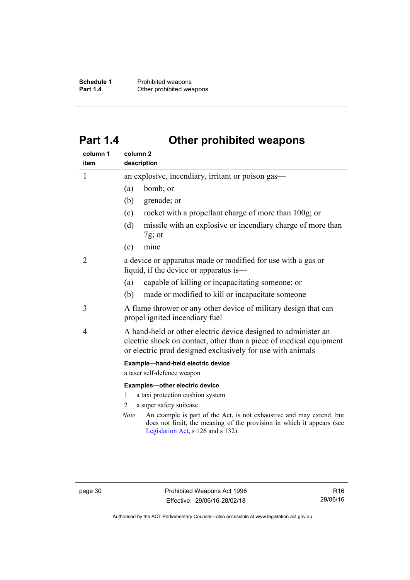**Schedule 1** Prohibited weapons<br> **Part 1.4** Other prohibited wea **Other prohibited weapons** 

# <span id="page-35-0"></span>**Part 1.4 Other prohibited weapons**

| column 1<br>item | column <sub>2</sub><br>description                                                                                                                                                                 |  |
|------------------|----------------------------------------------------------------------------------------------------------------------------------------------------------------------------------------------------|--|
| 1                | an explosive, incendiary, irritant or poison gas—                                                                                                                                                  |  |
|                  | bomb; or<br>(a)                                                                                                                                                                                    |  |
|                  | grenade; or<br>(b)                                                                                                                                                                                 |  |
|                  | rocket with a propellant charge of more than 100g; or<br>(c)                                                                                                                                       |  |
|                  | missile with an explosive or incendiary charge of more than<br>(d)<br>$7g$ ; or                                                                                                                    |  |
|                  | mine<br>(e)                                                                                                                                                                                        |  |
| 2                | a device or apparatus made or modified for use with a gas or<br>liquid, if the device or apparatus is—                                                                                             |  |
|                  | capable of killing or incapacitating someone; or<br>(a)                                                                                                                                            |  |
|                  | (b)<br>made or modified to kill or incapacitate someone                                                                                                                                            |  |
| 3                | A flame thrower or any other device of military design that can<br>propel ignited incendiary fuel                                                                                                  |  |
| 4                | A hand-held or other electric device designed to administer an<br>electric shock on contact, other than a piece of medical equipment<br>or electric prod designed exclusively for use with animals |  |
|                  | Example-hand-held electric device<br>a taser self-defence weapon                                                                                                                                   |  |
|                  | Examples-other electric device<br>a taxi protection cushion system<br>1                                                                                                                            |  |
|                  | a super safety suitcase<br>2                                                                                                                                                                       |  |
|                  | An example is part of the Act, is not exhaustive and may extend, but<br>Note<br>does not limit, the meaning of the provision in which it appears (see<br>Legislation Act, s 126 and s 132).        |  |

Authorised by the ACT Parliamentary Counsel—also accessible at www.legislation.act.gov.au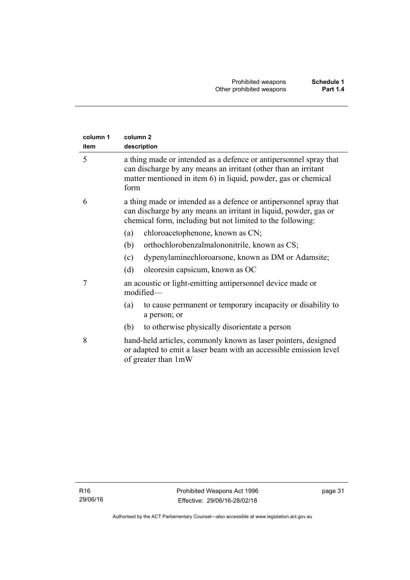| column 1<br>item | column <sub>2</sub><br>description                                                                                                                                                                            |
|------------------|---------------------------------------------------------------------------------------------------------------------------------------------------------------------------------------------------------------|
| 5                | a thing made or intended as a defence or antipersonnel spray that<br>can discharge by any means an irritant (other than an irritant<br>matter mentioned in item 6) in liquid, powder, gas or chemical<br>form |
| 6                | a thing made or intended as a defence or antipersonnel spray that<br>can discharge by any means an irritant in liquid, powder, gas or<br>chemical form, including but not limited to the following:           |
|                  | chloroacetophenone, known as CN;<br>(a)                                                                                                                                                                       |
|                  | orthochlorobenzalmalononitrile, known as CS;<br>(b)                                                                                                                                                           |
|                  | dypenylaminechloroarsone, known as DM or Adamsite;<br>(c)                                                                                                                                                     |
|                  | oleoresin capsicum, known as OC<br>(d)                                                                                                                                                                        |
| 7                | an acoustic or light-emitting antipersonnel device made or<br>modified-                                                                                                                                       |
|                  | to cause permanent or temporary incapacity or disability to<br>(a)<br>a person; or                                                                                                                            |
|                  | to otherwise physically disorientate a person<br>(b)                                                                                                                                                          |
| 8                | hand-held articles, commonly known as laser pointers, designed<br>or adapted to emit a laser beam with an accessible emission level<br>of greater than 1mW                                                    |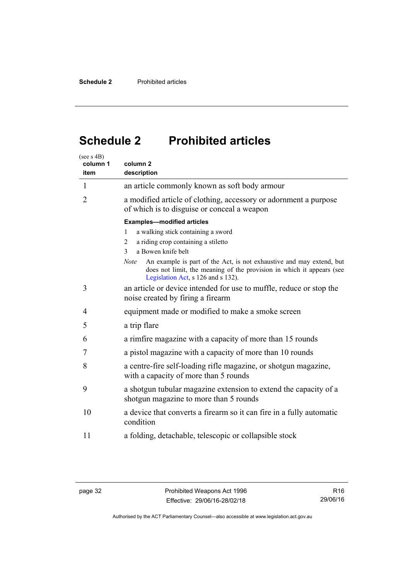# <span id="page-37-0"></span>**Schedule 2 Prohibited articles**

| (see s 4B)<br>column 1<br>item | column <sub>2</sub><br>description                                                                                                                                                                 |  |  |
|--------------------------------|----------------------------------------------------------------------------------------------------------------------------------------------------------------------------------------------------|--|--|
| $\mathbf{1}$                   | an article commonly known as soft body armour                                                                                                                                                      |  |  |
| $\overline{2}$                 | a modified article of clothing, accessory or adornment a purpose<br>of which is to disguise or conceal a weapon                                                                                    |  |  |
|                                | <b>Examples-modified articles</b>                                                                                                                                                                  |  |  |
|                                | a walking stick containing a sword<br>1                                                                                                                                                            |  |  |
|                                | a riding crop containing a stiletto<br>2                                                                                                                                                           |  |  |
|                                | a Bowen knife belt<br>3                                                                                                                                                                            |  |  |
|                                | An example is part of the Act, is not exhaustive and may extend, but<br><b>Note</b><br>does not limit, the meaning of the provision in which it appears (see<br>Legislation Act, s 126 and s 132). |  |  |
| 3                              | an article or device intended for use to muffle, reduce or stop the<br>noise created by firing a firearm                                                                                           |  |  |
| 4                              | equipment made or modified to make a smoke screen                                                                                                                                                  |  |  |
| 5                              | a trip flare                                                                                                                                                                                       |  |  |
| 6                              | a rimfire magazine with a capacity of more than 15 rounds                                                                                                                                          |  |  |
| 7                              | a pistol magazine with a capacity of more than 10 rounds                                                                                                                                           |  |  |
| 8                              | a centre-fire self-loading rifle magazine, or shotgun magazine,<br>with a capacity of more than 5 rounds                                                                                           |  |  |
| 9                              | a shotgun tubular magazine extension to extend the capacity of a<br>shotgun magazine to more than 5 rounds                                                                                         |  |  |
| 10                             | a device that converts a firearm so it can fire in a fully automatic<br>condition                                                                                                                  |  |  |
| 11                             | a folding, detachable, telescopic or collapsible stock                                                                                                                                             |  |  |

Authorised by the ACT Parliamentary Counsel—also accessible at www.legislation.act.gov.au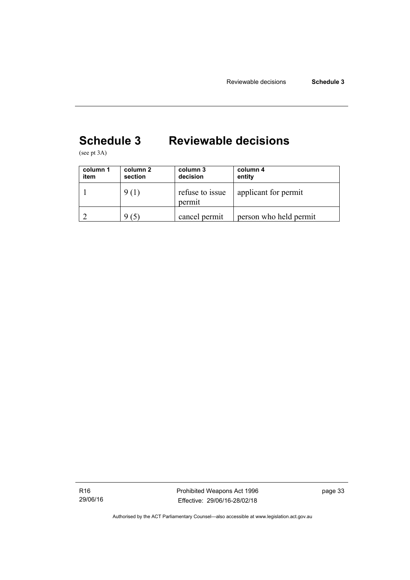# <span id="page-38-0"></span>**Schedule 3 Reviewable decisions**

(see pt 3A)

| column 1<br>item | column 2<br>section | column 3<br>decision      | column 4<br>entity     |
|------------------|---------------------|---------------------------|------------------------|
|                  | 9(1)                | refuse to issue<br>permit | applicant for permit   |
|                  | $\mathfrak{S}$ .    | cancel permit             | person who held permit |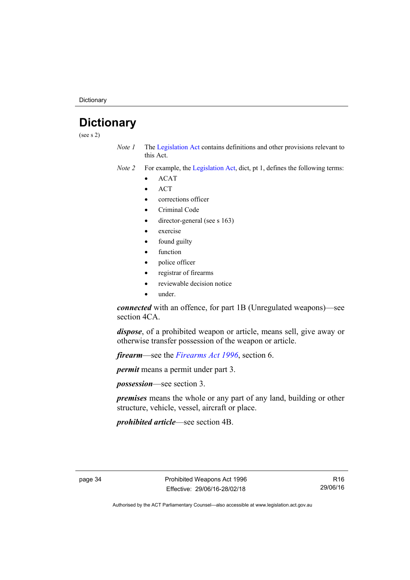**Dictionary** 

# <span id="page-39-0"></span>**Dictionary**

(see s 2)

- *Note 1* The [Legislation Act](http://www.legislation.act.gov.au/a/2001-14) contains definitions and other provisions relevant to this Act.
- *Note 2* For example, the [Legislation Act,](http://www.legislation.act.gov.au/a/2001-14) dict, pt 1, defines the following terms:
	- ACAT
	- **ACT**
	- corrections officer
	- Criminal Code
	- director-general (see s 163)
	- exercise
	- found guilty
	- function
	- police officer
	- registrar of firearms
	- reviewable decision notice
	- under.

*connected* with an offence, for part 1B (Unregulated weapons)—see section 4CA.

*dispose*, of a prohibited weapon or article, means sell, give away or otherwise transfer possession of the weapon or article.

*firearm*—see the *[Firearms Act 1996](http://www.legislation.act.gov.au/a/1996-74)*, section 6.

*permit* means a permit under part 3.

*possession*—see section 3.

*premises* means the whole or any part of any land, building or other structure, vehicle, vessel, aircraft or place.

*prohibited article*—see section 4B.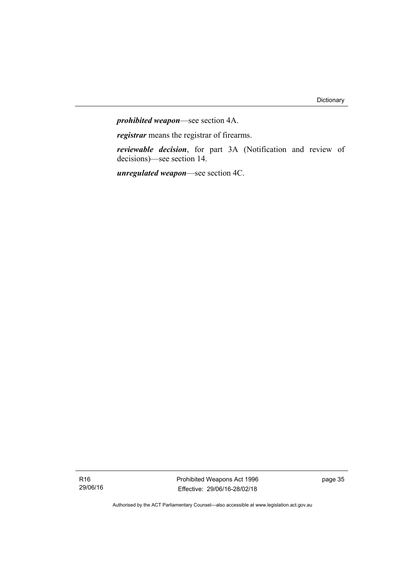*prohibited weapon*—see section 4A.

*registrar* means the registrar of firearms.

*reviewable decision*, for part 3A (Notification and review of decisions)—see section 14.

*unregulated weapon*—see section 4C.

R16 29/06/16 Prohibited Weapons Act 1996 Effective: 29/06/16-28/02/18

page 35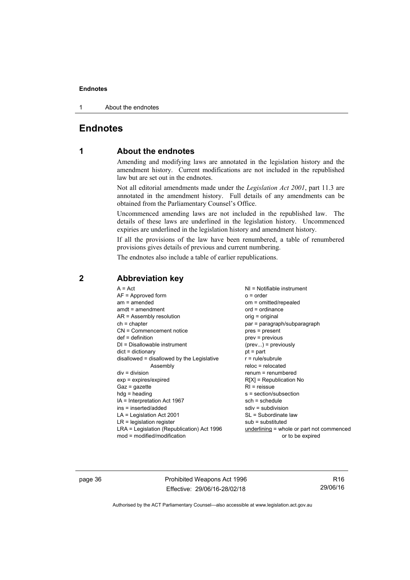1 About the endnotes

## <span id="page-41-0"></span>**Endnotes**

### **1 About the endnotes**

Amending and modifying laws are annotated in the legislation history and the amendment history. Current modifications are not included in the republished law but are set out in the endnotes.

Not all editorial amendments made under the *Legislation Act 2001*, part 11.3 are annotated in the amendment history. Full details of any amendments can be obtained from the Parliamentary Counsel's Office.

Uncommenced amending laws are not included in the republished law. The details of these laws are underlined in the legislation history. Uncommenced expiries are underlined in the legislation history and amendment history.

If all the provisions of the law have been renumbered, a table of renumbered provisions gives details of previous and current numbering.

The endnotes also include a table of earlier republications.

| $A = Act$                                  | NI = Notifiable instrument                  |
|--------------------------------------------|---------------------------------------------|
| $AF =$ Approved form                       | $o = order$                                 |
| $am = amended$                             | om = omitted/repealed                       |
| $amdt = amendment$                         | $ord = ordinance$                           |
| AR = Assembly resolution                   | orig = original                             |
| $ch = chapter$                             | par = paragraph/subparagraph                |
| CN = Commencement notice                   | pres = present                              |
| $def = definition$                         | $prev = previous$                           |
| $DI = Disallowable instrument$             | $(\text{prev})$ = previously                |
| $dict = dictionary$                        | $pt = part$                                 |
| disallowed = disallowed by the Legislative | $r = rule/subrule$                          |
| Assembly                                   | $reloc = relocated$                         |
| $div = division$                           | $renum = renumbered$                        |
| $exp = expires/expired$                    | $R[X]$ = Republication No                   |
| $Gaz = gazette$                            | $R1$ = reissue                              |
| $hdg = heading$                            | s = section/subsection                      |
| IA = Interpretation Act 1967               | $sch = schedule$                            |
| ins = inserted/added                       | $sdiv = subdivision$                        |
| $LA =$ Legislation Act 2001                | SL = Subordinate law                        |
| $LR =$ legislation register                | $sub =$ substituted                         |
| LRA = Legislation (Republication) Act 1996 | $underlining = whole or part not commenced$ |
| $mod = modified/modification$              | or to be expired                            |
|                                            |                                             |

## <span id="page-41-2"></span>**2 Abbreviation key**

page 36 **Prohibited Weapons Act 1996** Effective: 29/06/16-28/02/18

R16 29/06/16

<span id="page-41-1"></span>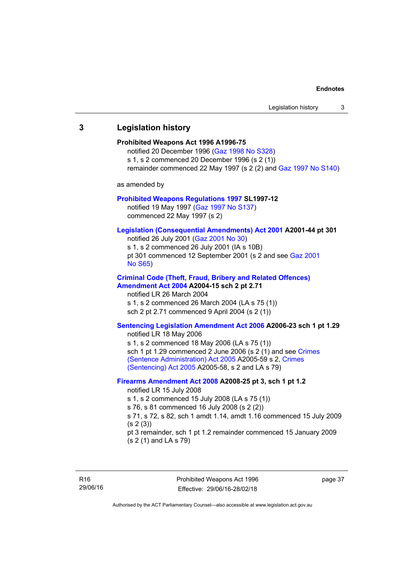## <span id="page-42-0"></span>**3 Legislation history Prohibited Weapons Act 1996 A1996-75**  notified 20 December 1996 [\(Gaz 1998 No S328](http://www.legislation.act.gov.au/gaz/1998-S328/default.asp)) s 1, s 2 commenced 20 December 1996 (s 2 (1)) remainder commenced 22 May 1997 (s 2 (2) and [Gaz 1997 No S140\)](http://www.legislation.act.gov.au/gaz/1997-S140/default.asp) as amended by **[Prohibited Weapons Regulations 1997](http://www.legislation.act.gov.au/sl/1997-12/default.asp) SL1997-12**  notified 19 May 1997 ([Gaz 1997 No S137](http://www.legislation.act.gov.au/gaz/1997-S137/default.asp)) commenced 22 May 1997 (s 2) **[Legislation \(Consequential Amendments\) Act 2001](http://www.legislation.act.gov.au/a/2001-44) A2001-44 pt 301**  notified 26 July 2001 ([Gaz 2001 No 30\)](http://www.legislation.act.gov.au/gaz/2001-30/default.asp) s 1, s 2 commenced 26 July 2001 (IA s 10B) pt 301 commenced 12 September 2001 (s 2 and see [Gaz 2001](http://www.legislation.act.gov.au/gaz/2001-S65/default.asp)  [No S65](http://www.legislation.act.gov.au/gaz/2001-S65/default.asp)) **[Criminal Code \(Theft, Fraud, Bribery and Related Offences\)](http://www.legislation.act.gov.au/a/2004-15/default.asp)  [Amendment Act 2004](http://www.legislation.act.gov.au/a/2004-15/default.asp) A2004-15 sch 2 pt 2.71**  notified LR 26 March 2004 s 1, s 2 commenced 26 March 2004 (LA s 75 (1)) sch 2 pt 2.71 commenced 9 April 2004 (s 2 (1)) **[Sentencing Legislation Amendment Act 2006](http://www.legislation.act.gov.au/a/2006-23) A2006-23 sch 1 pt 1.29**  notified LR 18 May 2006 s 1, s 2 commenced 18 May 2006 (LA s 75 (1)) sch 1 pt 1.29 commenced 2 June 2006 (s 2 (1) and see Crimes [\(Sentence Administration\) Act 2005](http://www.legislation.act.gov.au/a/2005-59) A2005-59 s 2, [Crimes](http://www.legislation.act.gov.au/a/2005-58)  [\(Sentencing\) Act 2005](http://www.legislation.act.gov.au/a/2005-58) A2005-58, s 2 and LA s 79) **[Firearms Amendment Act 2008](http://www.legislation.act.gov.au/a/2008-25) A2008-25 pt 3, sch 1 pt 1.2**  notified LR 15 July 2008 s 1, s 2 commenced 15 July 2008 (LA s 75 (1)) s 76, s 81 commenced 16 July 2008 (s 2 (2)) s 71, s 72, s 82, sch 1 amdt 1.14, amdt 1.16 commenced 15 July 2009  $(s 2(3))$ pt 3 remainder, sch 1 pt 1.2 remainder commenced 15 January 2009 (s 2 (1) and LA s 79)

Prohibited Weapons Act 1996 Effective: 29/06/16-28/02/18

page 37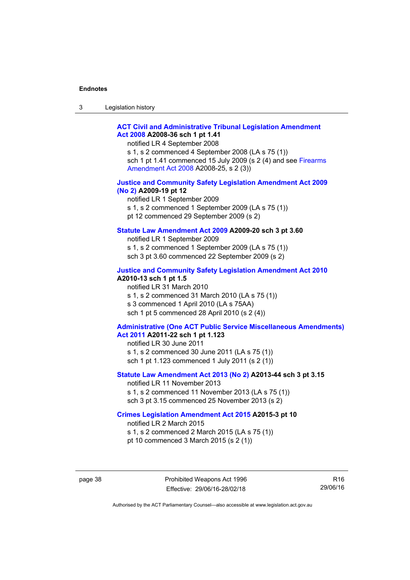| ۰J | Legislation history |  |
|----|---------------------|--|
|----|---------------------|--|

#### **[ACT Civil and Administrative Tribunal Legislation Amendment](http://www.legislation.act.gov.au/a/2008-36)  [Act 2008](http://www.legislation.act.gov.au/a/2008-36) A2008-36 sch 1 pt 1.41**

notified LR 4 September 2008

s 1, s 2 commenced 4 September 2008 (LA s 75 (1)) sch 1 pt 1.41 commenced 15 July 2009 (s 2 (4) and see [Firearms](http://www.legislation.act.gov.au/a/2008-25)  [Amendment Act 2008](http://www.legislation.act.gov.au/a/2008-25) A2008-25, s 2 (3))

#### **[Justice and Community Safety Legislation Amendment Act 2009](http://www.legislation.act.gov.au/a/2009-19)  [\(No 2\)](http://www.legislation.act.gov.au/a/2009-19) A2009-19 pt 12**

notified LR 1 September 2009 s 1, s 2 commenced 1 September 2009 (LA s 75 (1)) pt 12 commenced 29 September 2009 (s 2)

#### **[Statute Law Amendment Act 2009](http://www.legislation.act.gov.au/a/2009-20) A2009-20 sch 3 pt 3.60**

notified LR 1 September 2009 s 1, s 2 commenced 1 September 2009 (LA s 75 (1)) sch 3 pt 3.60 commenced 22 September 2009 (s 2)

#### **[Justice and Community Safety Legislation Amendment Act 2010](http://www.legislation.act.gov.au/a/2010-13)**

**A2010-13 sch 1 pt 1.5**  notified LR 31 March 2010 s 1, s 2 commenced 31 March 2010 (LA s 75 (1)) s 3 commenced 1 April 2010 (LA s 75AA) sch 1 pt 5 commenced 28 April 2010 (s 2 (4))

#### **[Administrative \(One ACT Public Service Miscellaneous Amendments\)](http://www.legislation.act.gov.au/a/2011-22)  [Act 2011](http://www.legislation.act.gov.au/a/2011-22) A2011-22 sch 1 pt 1.123**

notified LR 30 June 2011 s 1, s 2 commenced 30 June 2011 (LA s 75 (1)) sch 1 pt 1.123 commenced 1 July 2011 (s 2 (1))

#### **[Statute Law Amendment Act 2013 \(No 2\)](http://www.legislation.act.gov.au/a/2013-44) A2013-44 sch 3 pt 3.15**

notified LR 11 November 2013 s 1, s 2 commenced 11 November 2013 (LA s 75 (1)) sch 3 pt 3.15 commenced 25 November 2013 (s 2)

#### **[Crimes Legislation Amendment Act 2015](http://www.legislation.act.gov.au/a/2015-3/default.asp) A2015-3 pt 10**

notified LR 2 March 2015

s 1, s 2 commenced 2 March 2015 (LA s 75 (1))

pt 10 commenced 3 March 2015 (s 2 (1))

R16 29/06/16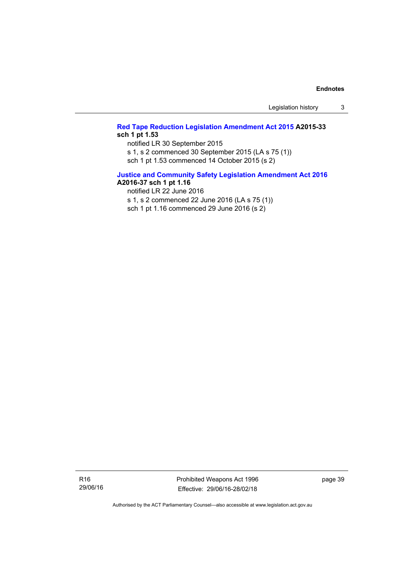Legislation history 3

#### **[Red Tape Reduction Legislation Amendment Act 2015](http://www.legislation.act.gov.au/a/2015-33/default.asp) A2015-33 sch 1 pt 1.53**

notified LR 30 September 2015

s 1, s 2 commenced 30 September 2015 (LA s 75 (1))

sch 1 pt 1.53 commenced 14 October 2015 (s 2)

## **[Justice and Community Safety Legislation Amendment Act 2016](http://www.legislation.act.gov.au/a/2016-37)**

**A2016-37 sch 1 pt 1.16** 

notified LR 22 June 2016

s 1, s 2 commenced 22 June 2016 (LA s 75 (1))

sch 1 pt 1.16 commenced 29 June 2016 (s 2)

R16 29/06/16 Prohibited Weapons Act 1996 Effective: 29/06/16-28/02/18

page 39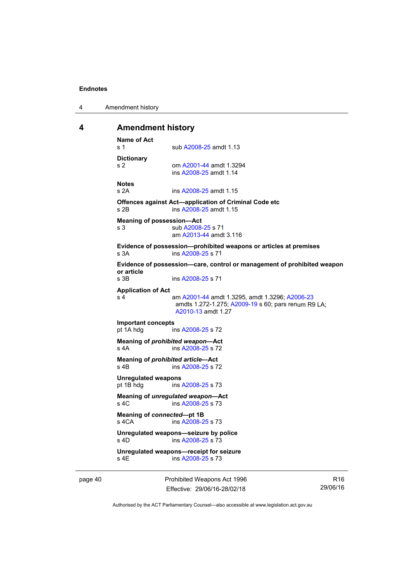4 Amendment history

#### <span id="page-45-0"></span>**4 Amendment history**

```
Name of Act 
A2008-25 amdt 1.13
Dictionary 
s 2 om A2001-44 amdt 1.3294 
                ins A2008-25 amdt 1.14 
Notes 
s 2A ins A2008-25 amdt 1.15 
Offences against Act—application of Criminal Code etc 
s 2B ins A2008-25 amdt 1.15 
Meaning of possession—Act 
A2008-25 s 71
                am A2013-44 amdt 3.116
Evidence of possession—prohibited weapons or articles at premises 
s 3A ins A2008-25 s 71 
Evidence of possession—care, control or management of prohibited weapon 
or article 
                A2008-25 s 71
Application of Act 
s 4 am A2001-44 amdt 1.3295, amdt 1.3296; A2006-23
                amdts 1.272-1.275; A2009-19 s 60; pars renum R9 LA; 
                A2010-13 amdt 1.27 
Important concepts 
pt 1A hdg ins A2008-25 s 72 
Meaning of prohibited weapon—Act 
A2008-25 s 72
Meaning of prohibited article—Act 
A2008-25 s 72
Unregulated weapons 
pt 1B hdg ins A2008-25 s 73 
Meaning of unregulated weapon—Act 
s 4C ins A2008-25 s 73 
Meaning of connected—pt 1B 
s 4CA ins A2008-25 s 73 
Unregulated weapons—seizure by police 
s 4D ins A2008-25 s 73 
Unregulated weapons—receipt for seizure 
               A2008-25 s 73
```
page 40 Prohibited Weapons Act 1996 Effective: 29/06/16-28/02/18

R16 29/06/16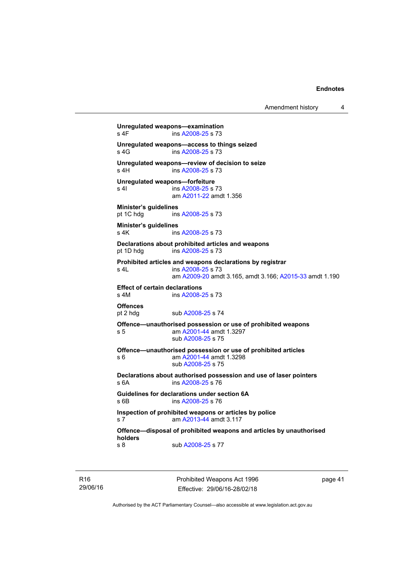```
Amendment history 4
```

```
Unregulated weapons—examination 
A2008-25 s 73
Unregulated weapons—access to things seized 
A2008-25 s 73
Unregulated weapons—review of decision to seize 
 A2008-25 s 73
Unregulated weapons—forfeiture 
A2008-25 s 73
                am A2011-22 amdt 1.356
Minister's guidelines 
 A2008-25 s 73
Minister's guidelines 
A2008-25 s 73
Declarations about prohibited articles and weapons 
pt 1D hdg ins A2008-25 s 73 
Prohibited articles and weapons declarations by registrar 
s 4L ins A2008-25 s 73 
                am A2009-20 amdt 3.165, amdt 3.166; A2015-33 amdt 1.190 
Effect of certain declarations 
s 4M ins A2008-25 s 73 
Offences 
               A2008-25 s 74
Offence—unauthorised possession or use of prohibited weapons 
s 5 am A2001-44 amdt 1.3297 
                sub A2008-25 s 75 
Offence—unauthorised possession or use of prohibited articles 
s 6 am A2001-44 amdt 1.3298 
                sub A2008-25 s 75 
Declarations about authorised possession and use of laser pointers 
s 6A ins A2008-25 s 76 
Guidelines for declarations under section 6A<br>s 6B ins A2008-25 s 76
               A2008-25 s 76
Inspection of prohibited weapons or articles by police 
s 7 am A2013-44 amdt 3.117
Offence—disposal of prohibited weapons and articles by unauthorised 
holders 
A2008-25 s 77
```
R16 29/06/16 Prohibited Weapons Act 1996 Effective: 29/06/16-28/02/18

page 41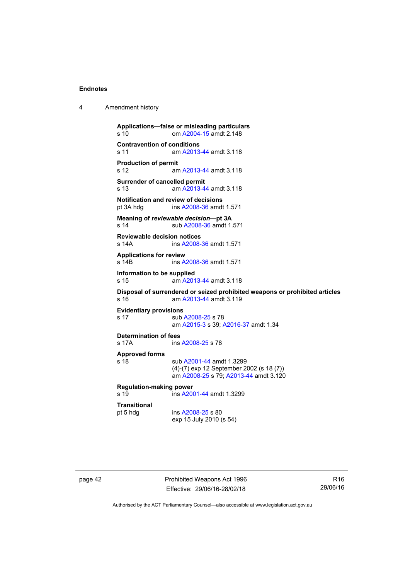4 Amendment history

```
Applications—false or misleading particulars 
s 10 om A2004-15 amdt 2.148
Contravention of conditions 
s 11 am A2013-44 amdt 3.118
Production of permit 
s 12 am A2013-44 amdt 3.118
Surrender of cancelled permit 
s 13 am A2013-44 amdt 3.118
Notification and review of decisions<br>pt 3A hdg ins A2008-36 amdt
                 A2008-36 amdt 1.571
Meaning of reviewable decision—pt 3A 
A2008-36 amdt 1.571
Reviewable decision notices 
s 14A ins A2008-36 amdt 1.571 
Applications for review 
s 14B ins A2008-36 amdt 1.571 
Information to be supplied 
s 15 am A2013-44 amdt 3.118
Disposal of surrendered or seized prohibited weapons or prohibited articles 
 A2013-44 amdt 3.119
Evidentiary provisions 
A2008-25 s 78
                 am A2015-3 s 39; A2016-37 amdt 1.34
Determination of fees 
                A2008-25 s 78
Approved forms 
s 18 sub A2001-44 amdt 1.3299 
                (4)-(7) exp 12 September 2002 (s 18 (7)) 
                 am A2008-25 s 79; A2013-44 amdt 3.120 
Regulation-making power 
s 19 ins A2001-44 amdt 1.3299 
Transitional 
                A2008-25 s 80
                exp 15 July 2010 (s 54)
```
page 42 **Prohibited Weapons Act 1996** Effective: 29/06/16-28/02/18

R16 29/06/16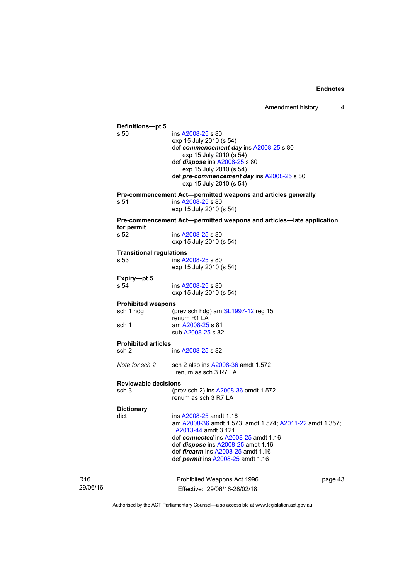|          | Definitions-pt 5<br>s 50                                                           | ins A2008-25 s 80<br>exp 15 July 2010 (s 54)<br>def commencement day ins A2008-25 s 80<br>exp 15 July 2010 (s 54)<br>def <i>dispose</i> ins A2008-25 s 80<br>exp 15 July 2010 (s 54)<br>def pre-commencement day ins A2008-25 s 80<br>exp 15 July 2010 (s 54)                    |         |
|----------|------------------------------------------------------------------------------------|----------------------------------------------------------------------------------------------------------------------------------------------------------------------------------------------------------------------------------------------------------------------------------|---------|
|          |                                                                                    | Pre-commencement Act-permitted weapons and articles generally                                                                                                                                                                                                                    |         |
|          | s 51                                                                               | ins A2008-25 s 80<br>exp 15 July 2010 (s 54)                                                                                                                                                                                                                                     |         |
|          | Pre-commencement Act-permitted weapons and articles-late application<br>for permit |                                                                                                                                                                                                                                                                                  |         |
|          | s 52                                                                               | ins A2008-25 s 80<br>exp 15 July 2010 (s 54)                                                                                                                                                                                                                                     |         |
|          | <b>Transitional regulations</b>                                                    |                                                                                                                                                                                                                                                                                  |         |
|          | s 53                                                                               | ins A2008-25 s 80<br>exp 15 July 2010 (s 54)                                                                                                                                                                                                                                     |         |
|          | Expiry-pt 5                                                                        |                                                                                                                                                                                                                                                                                  |         |
| s 54     |                                                                                    | ins A2008-25 s 80<br>exp 15 July 2010 (s 54)                                                                                                                                                                                                                                     |         |
|          | <b>Prohibited weapons</b>                                                          |                                                                                                                                                                                                                                                                                  |         |
|          | sch 1 hdg                                                                          | (prev sch hdg) am $SL1997-12$ reg 15<br>renum R1 LA                                                                                                                                                                                                                              |         |
|          | sch 1                                                                              | am A2008-25 s 81<br>sub A2008-25 s 82                                                                                                                                                                                                                                            |         |
|          | <b>Prohibited articles</b>                                                         |                                                                                                                                                                                                                                                                                  |         |
|          | sch 2                                                                              | ins A2008-25 s 82                                                                                                                                                                                                                                                                |         |
|          | Note for sch 2                                                                     | sch 2 also ins A2008-36 amdt 1.572<br>renum as sch 3 R7 LA                                                                                                                                                                                                                       |         |
|          | <b>Reviewable decisions</b>                                                        |                                                                                                                                                                                                                                                                                  |         |
|          | sch 3                                                                              | (prev sch 2) ins A2008-36 amdt 1.572<br>renum as sch 3 R7 LA                                                                                                                                                                                                                     |         |
|          | <b>Dictionary</b>                                                                  |                                                                                                                                                                                                                                                                                  |         |
|          | dict                                                                               | ins A2008-25 amdt 1.16<br>am A2008-36 amdt 1.573, amdt 1.574; A2011-22 amdt 1.357;<br>A2013-44 amdt 3.121<br>def connected ins A2008-25 amdt 1.16<br>def <i>dispose</i> ins A2008-25 amdt 1.16<br>def firearm ins A2008-25 amdt 1.16<br>def <i>permit</i> ins A2008-25 amdt 1.16 |         |
| R16      |                                                                                    | Prohibited Weapons Act 1996                                                                                                                                                                                                                                                      | page 43 |
| 29/06/16 |                                                                                    | Effective: 29/06/16-28/02/18                                                                                                                                                                                                                                                     |         |

Authorised by the ACT Parliamentary Counsel—also accessible at www.legislation.act.gov.au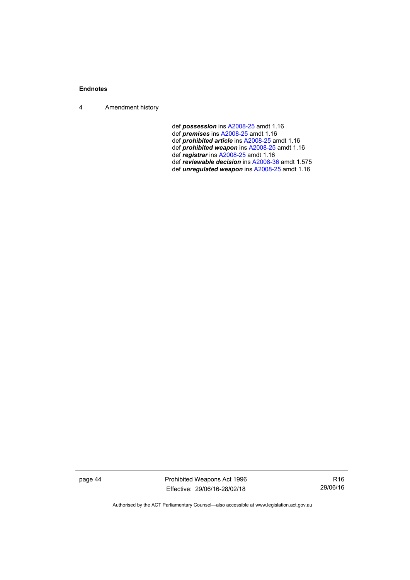4 Amendment history

def *possession* ins [A2008-25](http://www.legislation.act.gov.au/a/2008-25) amdt 1.16

- def *premises* ins [A2008-25](http://www.legislation.act.gov.au/a/2008-25) amdt 1.16
- def *prohibited article* ins [A2008-25](http://www.legislation.act.gov.au/a/2008-25) amdt 1.16
- def *prohibited weapon* ins [A2008-25](http://www.legislation.act.gov.au/a/2008-25) amdt 1.16
- def *registrar* ins [A2008-25](http://www.legislation.act.gov.au/a/2008-25) amdt 1.16
	- def *reviewable decision* ins [A2008-36](http://www.legislation.act.gov.au/a/2008-36) amdt 1.575
	- def *unregulated weapon* ins [A2008-25](http://www.legislation.act.gov.au/a/2008-25) amdt 1.16

page 44 **Prohibited Weapons Act 1996** Effective: 29/06/16-28/02/18

R16 29/06/16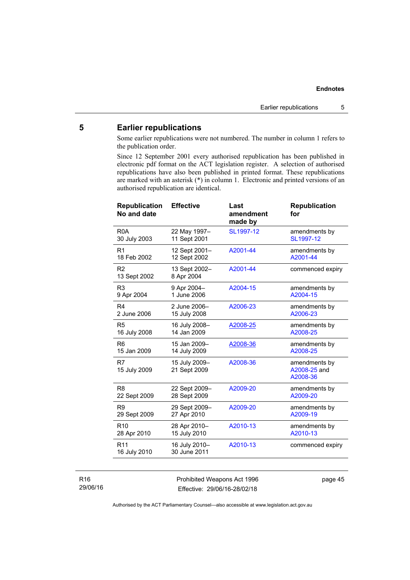#### <span id="page-50-0"></span>**5 Earlier republications**

Some earlier republications were not numbered. The number in column 1 refers to the publication order.

Since 12 September 2001 every authorised republication has been published in electronic pdf format on the ACT legislation register. A selection of authorised republications have also been published in printed format. These republications are marked with an asterisk (\*) in column 1. Electronic and printed versions of an authorised republication are identical.

| <b>Republication</b><br>No and date | <b>Effective</b>              | Last<br>amendment<br>made by | <b>Republication</b><br>for               |
|-------------------------------------|-------------------------------|------------------------------|-------------------------------------------|
| R <sub>0</sub> A                    | 22 May 1997-                  | SL1997-12                    | amendments by                             |
| 30 July 2003                        | 11 Sept 2001                  |                              | SL1997-12                                 |
| R <sub>1</sub>                      | 12 Sept 2001-                 | A2001-44                     | amendments by                             |
| 18 Feb 2002                         | 12 Sept 2002                  |                              | A2001-44                                  |
| R <sub>2</sub><br>13 Sept 2002      | 13 Sept 2002-<br>8 Apr 2004   | A2001-44                     | commenced expiry                          |
| R <sub>3</sub>                      | 9 Apr 2004-                   | A2004-15                     | amendments by                             |
| 9 Apr 2004                          | 1 June 2006                   |                              | A2004-15                                  |
| R4                                  | 2 June 2006-                  | A2006-23                     | amendments by                             |
| 2 June 2006                         | 15 July 2008                  |                              | A2006-23                                  |
| R <sub>5</sub>                      | 16 July 2008-                 | A2008-25                     | amendments by                             |
| 16 July 2008                        | 14 Jan 2009                   |                              | A2008-25                                  |
| R <sub>6</sub>                      | 15 Jan 2009-                  | A2008-36                     | amendments by                             |
| 15 Jan 2009                         | 14 July 2009                  |                              | A2008-25                                  |
| R7<br>15 July 2009                  | 15 July 2009-<br>21 Sept 2009 | A2008-36                     | amendments by<br>A2008-25 and<br>A2008-36 |
| R <sub>8</sub>                      | 22 Sept 2009-                 | A2009-20                     | amendments by                             |
| 22 Sept 2009                        | 28 Sept 2009                  |                              | A2009-20                                  |
| R <sub>9</sub>                      | 29 Sept 2009-                 | A2009-20                     | amendments by                             |
| 29 Sept 2009                        | 27 Apr 2010                   |                              | A2009-19                                  |
| R <sub>10</sub>                     | 28 Apr 2010-                  | A2010-13                     | amendments by                             |
| 28 Apr 2010                         | 15 July 2010                  |                              | A2010-13                                  |
| R <sub>11</sub><br>16 July 2010     | 16 July 2010-<br>30 June 2011 | A2010-13                     | commenced expiry                          |

#### R16 29/06/16

Prohibited Weapons Act 1996 Effective: 29/06/16-28/02/18

page 45